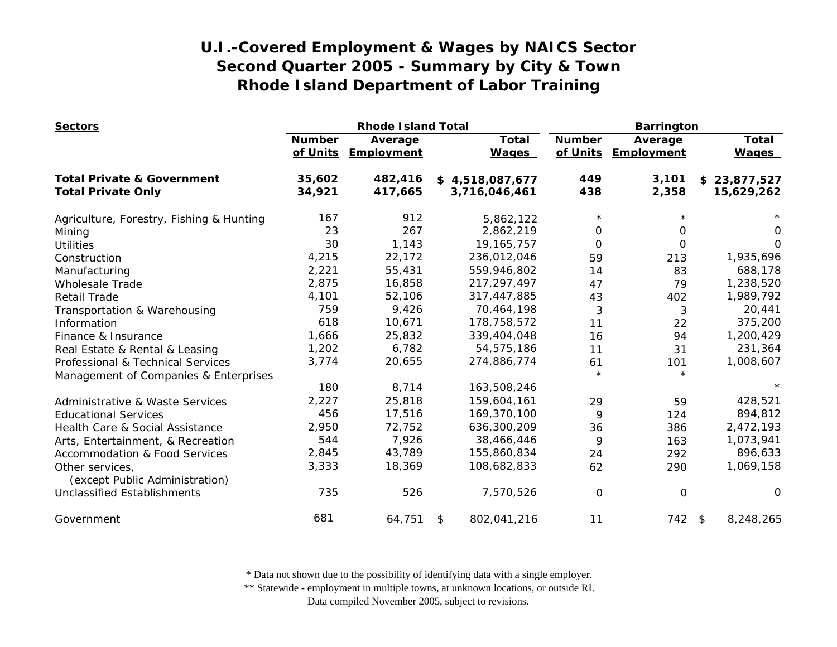| <b>Sectors</b>                                    |               | <b>Rhode Island Total</b>      |                              | <b>Barrington</b>         |                       |                              |
|---------------------------------------------------|---------------|--------------------------------|------------------------------|---------------------------|-----------------------|------------------------------|
|                                                   | <b>Number</b> | Average<br>of Units Employment | <b>Total</b><br><b>Wages</b> | <b>Number</b><br>of Units | Average<br>Employment | <b>Total</b><br><b>Wages</b> |
| <b>Total Private &amp; Government</b>             | 35,602        | 482,416                        | \$4,518,087,677              | 449                       | 3,101                 | \$23,877,527                 |
| <b>Total Private Only</b>                         | 34,921        | 417,665                        | 3,716,046,461                | 438                       | 2,358                 | 15,629,262                   |
| Agriculture, Forestry, Fishing & Hunting          | 167           | 912                            | 5,862,122                    | $\star$                   |                       |                              |
| Mining                                            | 23            | 267                            | 2,862,219                    | 0                         | 0                     | 0                            |
| <b>Utilities</b>                                  | 30            | 1,143                          | 19, 165, 757                 | $\Omega$                  | $\Omega$              | $\Omega$                     |
| Construction                                      | 4,215         | 22,172                         | 236,012,046                  | 59                        | 213                   | 1,935,696                    |
| Manufacturing                                     | 2,221         | 55,431                         | 559,946,802                  | 14                        | 83                    | 688,178                      |
| <b>Wholesale Trade</b>                            | 2,875         | 16,858                         | 217, 297, 497                | 47                        | 79                    | 1,238,520                    |
| <b>Retail Trade</b>                               | 4,101         | 52,106                         | 317,447,885                  | 43                        | 402                   | 1,989,792                    |
| Transportation & Warehousing                      | 759           | 9,426                          | 70,464,198                   | 3                         | 3                     | 20,441                       |
| Information                                       | 618           | 10,671                         | 178,758,572                  | 11                        | 22                    | 375,200                      |
| Finance & Insurance                               | 1,666         | 25,832                         | 339,404,048                  | 16                        | 94                    | 1,200,429                    |
| Real Estate & Rental & Leasing                    | 1,202         | 6,782                          | 54,575,186                   | 11                        | 31                    | 231,364                      |
| Professional & Technical Services                 | 3,774         | 20,655                         | 274,886,774                  | 61                        | 101                   | 1,008,607                    |
| Management of Companies & Enterprises             |               |                                |                              | $\star$                   | $\star$               |                              |
|                                                   | 180           | 8,714                          | 163,508,246                  |                           |                       |                              |
| Administrative & Waste Services                   | 2,227         | 25,818                         | 159,604,161                  | 29                        | 59                    | 428,521                      |
| <b>Educational Services</b>                       | 456           | 17,516                         | 169,370,100                  | 9                         | 124                   | 894,812                      |
| Health Care & Social Assistance                   | 2,950         | 72,752                         | 636,300,209                  | 36                        | 386                   | 2,472,193                    |
| Arts, Entertainment, & Recreation                 | 544           | 7,926                          | 38,466,446                   | 9                         | 163                   | 1,073,941                    |
| <b>Accommodation &amp; Food Services</b>          | 2,845         | 43,789                         | 155,860,834                  | 24                        | 292                   | 896,633                      |
| Other services,<br>(except Public Administration) | 3,333         | 18,369                         | 108,682,833                  | 62                        | 290                   | 1,069,158                    |
| <b>Unclassified Establishments</b>                | 735           | 526                            | 7,570,526                    | $\mathbf 0$               | 0                     | 0                            |
| Government                                        | 681           | 64,751                         | 802,041,216<br>\$            | 11                        | 742 \$                | 8,248,265                    |

\* Data not shown due to the possibility of identifying data with a single employer.

\*\* Statewide - employment in multiple towns, at unknown locations, or outside RI.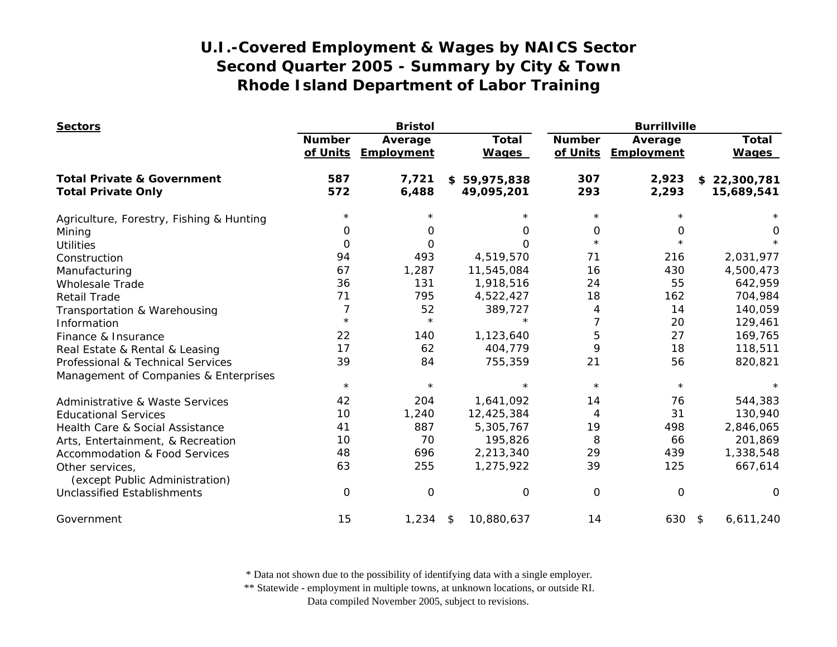| <b>Sectors</b>                                    |                           | <b>Bristol</b>        |                              | <b>Burrillville</b>       |                       |                              |
|---------------------------------------------------|---------------------------|-----------------------|------------------------------|---------------------------|-----------------------|------------------------------|
|                                                   | <b>Number</b><br>of Units | Average<br>Employment | <b>Total</b><br><b>Wages</b> | <b>Number</b><br>of Units | Average<br>Employment | <b>Total</b><br><b>Wages</b> |
| <b>Total Private &amp; Government</b>             | 587                       | 7,721                 | \$59,975,838                 | 307                       | 2,923                 | \$22,300,781                 |
| <b>Total Private Only</b>                         | 572                       | 6,488                 | 49,095,201                   | 293                       | 2,293                 | 15,689,541                   |
| Agriculture, Forestry, Fishing & Hunting          | $^\star$                  |                       |                              | $\star$                   |                       |                              |
| Mining                                            | 0                         | O                     | 0                            | 0                         | 0                     | 0                            |
| <b>Utilities</b>                                  | $\Omega$                  | 0                     | $\Omega$                     | $\star$                   | $\star$               |                              |
| Construction                                      | 94                        | 493                   | 4,519,570                    | 71                        | 216                   | 2,031,977                    |
| Manufacturing                                     | 67                        | 1,287                 | 11,545,084                   | 16                        | 430                   | 4,500,473                    |
| <b>Wholesale Trade</b>                            | 36                        | 131                   | 1,918,516                    | 24                        | 55                    | 642,959                      |
| <b>Retail Trade</b>                               | 71                        | 795                   | 4,522,427                    | 18                        | 162                   | 704,984                      |
| Transportation & Warehousing                      | 7                         | 52                    | 389,727                      | 4                         | 14                    | 140,059                      |
| Information                                       | $\star$                   | $\star$               |                              | 7                         | 20                    | 129,461                      |
| Finance & Insurance                               | 22                        | 140                   | 1,123,640                    | 5                         | 27                    | 169,765                      |
| Real Estate & Rental & Leasing                    | 17                        | 62                    | 404,779                      | 9                         | 18                    | 118,511                      |
| Professional & Technical Services                 | 39                        | 84                    | 755,359                      | 21                        | 56                    | 820,821                      |
| Management of Companies & Enterprises             |                           |                       |                              |                           |                       |                              |
|                                                   | $\star$                   | $\star$               |                              | $\star$                   | $\star$               |                              |
| Administrative & Waste Services                   | 42                        | 204                   | 1,641,092                    | 14                        | 76                    | 544,383                      |
| <b>Educational Services</b>                       | 10                        | 1,240                 | 12,425,384                   | 4                         | 31                    | 130,940                      |
| Health Care & Social Assistance                   | 41                        | 887                   | 5,305,767                    | 19                        | 498                   | 2,846,065                    |
| Arts, Entertainment, & Recreation                 | 10                        | 70                    | 195,826                      | 8                         | 66                    | 201,869                      |
| <b>Accommodation &amp; Food Services</b>          | 48                        | 696                   | 2,213,340                    | 29                        | 439                   | 1,338,548                    |
| Other services,<br>(except Public Administration) | 63                        | 255                   | 1,275,922                    | 39                        | 125                   | 667,614                      |
| <b>Unclassified Establishments</b>                | 0                         | 0                     | 0                            | 0                         | $\mathbf 0$           | $\Omega$                     |
| Government                                        | 15                        | 1,234                 | 10,880,637<br>\$             | 14                        | 630                   | \$<br>6,611,240              |

\* Data not shown due to the possibility of identifying data with a single employer.

\*\* Statewide - employment in multiple towns, at unknown locations, or outside RI.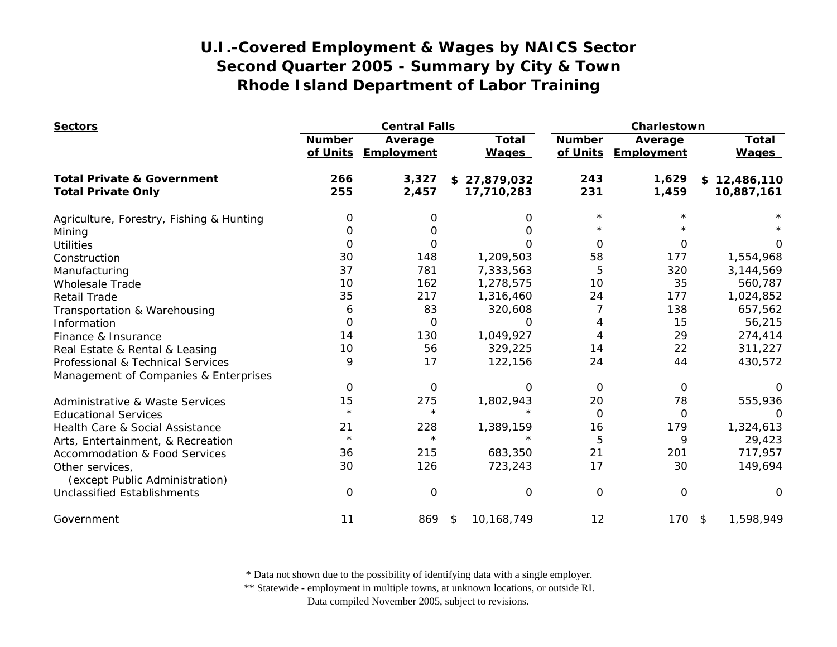| <b>Sectors</b>                                    |                           | <b>Central Falls</b>         |                              |                           | Charlestown           |                              |  |
|---------------------------------------------------|---------------------------|------------------------------|------------------------------|---------------------------|-----------------------|------------------------------|--|
|                                                   | <b>Number</b><br>of Units | Average<br><b>Employment</b> | <b>Total</b><br><b>Wages</b> | <b>Number</b><br>of Units | Average<br>Employment | <b>Total</b><br><b>Wages</b> |  |
| <b>Total Private &amp; Government</b>             | 266                       | 3,327                        | \$27,879,032                 | 243                       | 1,629                 | \$12,486,110                 |  |
| <b>Total Private Only</b>                         | 255                       | 2,457                        | 17,710,283                   | 231                       | 1,459                 | 10,887,161                   |  |
| Agriculture, Forestry, Fishing & Hunting          | 0                         | 0                            | 0                            | $^\star$                  |                       |                              |  |
| Mining                                            | $\Omega$                  | O                            | 0                            |                           |                       |                              |  |
| <b>Utilities</b>                                  | 0                         | 0                            | $\Omega$                     | $\Omega$                  | 0                     | 0                            |  |
| Construction                                      | 30                        | 148                          | 1,209,503                    | 58                        | 177                   | 1,554,968                    |  |
| Manufacturing                                     | 37                        | 781                          | 7,333,563                    | 5                         | 320                   | 3,144,569                    |  |
| <b>Wholesale Trade</b>                            | 10                        | 162                          | 1,278,575                    | 10                        | 35                    | 560,787                      |  |
| <b>Retail Trade</b>                               | 35                        | 217                          | 1,316,460                    | 24                        | 177                   | 1,024,852                    |  |
| Transportation & Warehousing                      | 6                         | 83                           | 320,608                      |                           | 138                   | 657,562                      |  |
| Information                                       | 0                         | $\Omega$                     | $\Omega$                     | 4                         | 15                    | 56,215                       |  |
| Finance & Insurance                               | 14                        | 130                          | 1,049,927                    | 4                         | 29                    | 274,414                      |  |
| Real Estate & Rental & Leasing                    | 10                        | 56                           | 329,225                      | 14                        | 22                    | 311,227                      |  |
| Professional & Technical Services                 | 9                         | 17                           | 122,156                      | 24                        | 44                    | 430,572                      |  |
| Management of Companies & Enterprises             |                           |                              |                              |                           |                       |                              |  |
|                                                   | $\mathbf 0$               | $\mathbf 0$                  | $\Omega$                     | $\Omega$                  | 0                     | O                            |  |
| <b>Administrative &amp; Waste Services</b>        | 15                        | 275                          | 1,802,943                    | 20                        | 78                    | 555,936                      |  |
| <b>Educational Services</b>                       | $\star$                   | $\star$                      | $\star$                      | $\mathbf 0$               | 0                     | 0                            |  |
| Health Care & Social Assistance                   | 21                        | 228                          | 1,389,159                    | 16                        | 179                   | 1,324,613                    |  |
| Arts, Entertainment, & Recreation                 | $\star$                   | $\star$                      | $\star$                      | 5                         | 9                     | 29,423                       |  |
| <b>Accommodation &amp; Food Services</b>          | 36                        | 215                          | 683,350                      | 21                        | 201                   | 717,957                      |  |
| Other services,<br>(except Public Administration) | 30                        | 126                          | 723,243                      | 17                        | 30                    | 149,694                      |  |
| <b>Unclassified Establishments</b>                | 0                         | $\Omega$                     | 0                            | $\Omega$                  | $\mathbf 0$           | O                            |  |
| Government                                        | 11                        | 869                          | 10,168,749<br>\$             | 12                        | $170$ \$              | 1,598,949                    |  |

\* Data not shown due to the possibility of identifying data with a single employer.

\*\* Statewide - employment in multiple towns, at unknown locations, or outside RI.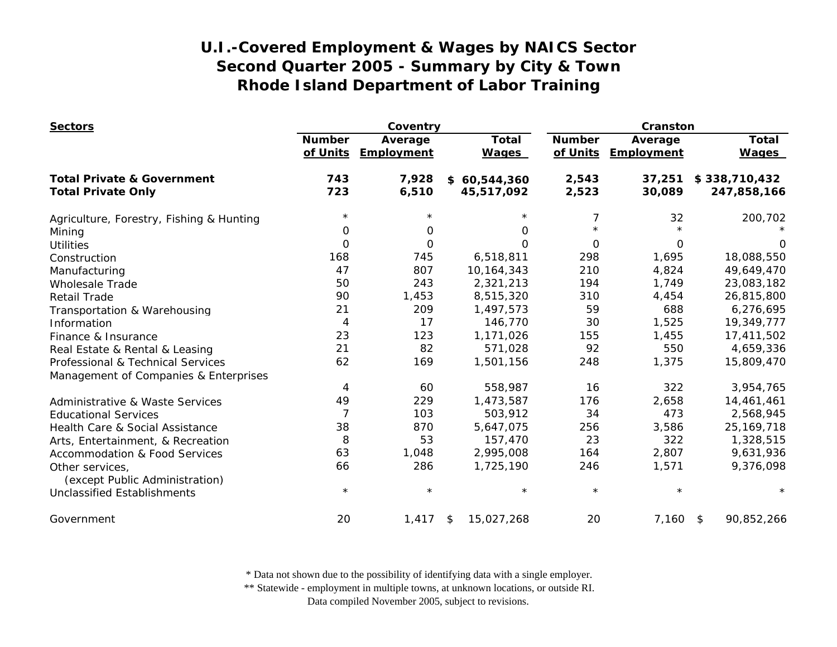| <b>Sectors</b>                             |                | Coventry   |                  |               | Cranston   |               |  |
|--------------------------------------------|----------------|------------|------------------|---------------|------------|---------------|--|
|                                            | <b>Number</b>  | Average    | <b>Total</b>     | <b>Number</b> | Average    | <b>Total</b>  |  |
|                                            | of Units       | Employment | <b>Wages</b>     | of Units      | Employment | <b>Wages</b>  |  |
| <b>Total Private &amp; Government</b>      | 743            | 7,928      | \$60,544,360     | 2,543         | 37,251     | \$338,710,432 |  |
| <b>Total Private Only</b>                  | 723            | 6,510      | 45,517,092       | 2,523         | 30,089     | 247,858,166   |  |
| Agriculture, Forestry, Fishing & Hunting   | $^\star$       |            |                  | 7             | 32         | 200,702       |  |
| Mining                                     | 0              | 0          | 0                | $\star$       |            |               |  |
| <b>Utilities</b>                           | $\Omega$       | $\Omega$   | $\Omega$         | $\Omega$      | $\Omega$   | 0             |  |
| Construction                               | 168            | 745        | 6,518,811        | 298           | 1,695      | 18,088,550    |  |
| Manufacturing                              | 47             | 807        | 10,164,343       | 210           | 4,824      | 49,649,470    |  |
| <b>Wholesale Trade</b>                     | 50             | 243        | 2,321,213        | 194           | 1,749      | 23,083,182    |  |
| <b>Retail Trade</b>                        | 90             | 1,453      | 8,515,320        | 310           | 4,454      | 26,815,800    |  |
| Transportation & Warehousing               | 21             | 209        | 1,497,573        | 59            | 688        | 6,276,695     |  |
| Information                                | 4              | 17         | 146,770          | 30            | 1,525      | 19,349,777    |  |
| Finance & Insurance                        | 23             | 123        | 1,171,026        | 155           | 1,455      | 17,411,502    |  |
| Real Estate & Rental & Leasing             | 21             | 82         | 571,028          | 92            | 550        | 4,659,336     |  |
| Professional & Technical Services          | 62             | 169        | 1,501,156        | 248           | 1,375      | 15,809,470    |  |
| Management of Companies & Enterprises      |                |            |                  |               |            |               |  |
|                                            | 4              | 60         | 558,987          | 16            | 322        | 3,954,765     |  |
| <b>Administrative &amp; Waste Services</b> | 49             | 229        | 1,473,587        | 176           | 2,658      | 14,461,461    |  |
| <b>Educational Services</b>                | $\overline{7}$ | 103        | 503,912          | 34            | 473        | 2,568,945     |  |
| Health Care & Social Assistance            | 38             | 870        | 5,647,075        | 256           | 3,586      | 25, 169, 718  |  |
| Arts, Entertainment, & Recreation          | 8              | 53         | 157,470          | 23            | 322        | 1,328,515     |  |
| <b>Accommodation &amp; Food Services</b>   | 63             | 1,048      | 2,995,008        | 164           | 2,807      | 9,631,936     |  |
| Other services,                            | 66             | 286        | 1,725,190        | 246           | 1,571      | 9,376,098     |  |
| (except Public Administration)             |                |            |                  |               |            |               |  |
| <b>Unclassified Establishments</b>         | $\star$        | $\star$    | $\star$          | $\star$       | $\star$    | $\star$       |  |
| Government                                 | 20             | 1,417      | 15,027,268<br>\$ | 20            | 7,160 \$   | 90,852,266    |  |

\* Data not shown due to the possibility of identifying data with a single employer.

\*\* Statewide - employment in multiple towns, at unknown locations, or outside RI.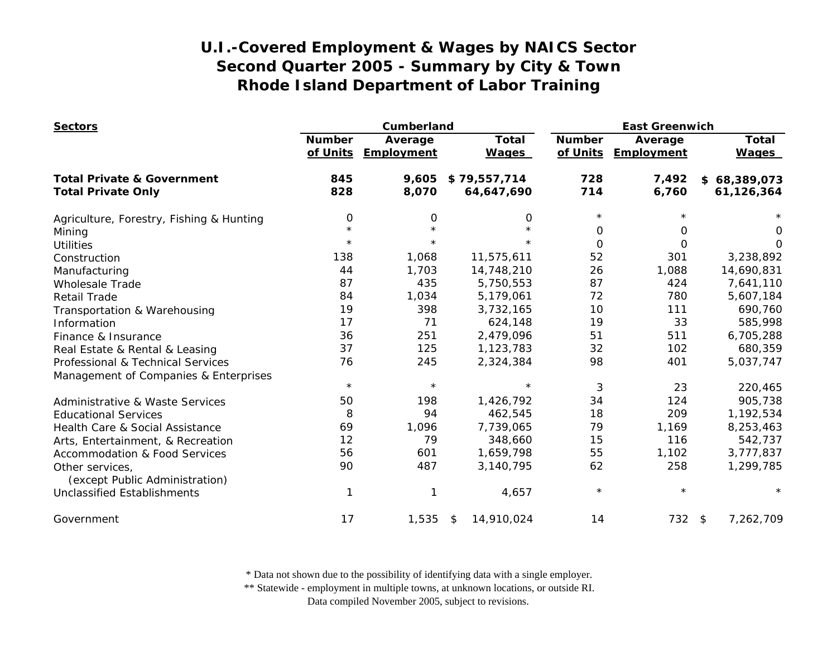| <b>Sectors</b>                                    |                           | Cumberland            |                              | <b>East Greenwich</b>     |                       |                              |
|---------------------------------------------------|---------------------------|-----------------------|------------------------------|---------------------------|-----------------------|------------------------------|
|                                                   | <b>Number</b><br>of Units | Average<br>Employment | <b>Total</b><br><b>Wages</b> | <b>Number</b><br>of Units | Average<br>Employment | <b>Total</b><br><b>Wages</b> |
| <b>Total Private &amp; Government</b>             | 845                       | 9,605                 | \$79,557,714                 | 728                       | 7,492                 | \$68,389,073                 |
| <b>Total Private Only</b>                         | 828                       | 8,070                 | 64,647,690                   | 714                       | 6,760                 | 61,126,364                   |
| Agriculture, Forestry, Fishing & Hunting          | $\mathbf 0$               | 0                     | 0                            | $\star$                   |                       |                              |
| Mining                                            | $\star$                   |                       | $\star$                      | 0                         | $\Omega$              | 0                            |
| <b>Utilities</b>                                  | $\star$                   | $\star$               | $\star$                      | $\Omega$                  | $\Omega$              | $\Omega$                     |
| Construction                                      | 138                       | 1,068                 | 11,575,611                   | 52                        | 301                   | 3,238,892                    |
| Manufacturing                                     | 44                        | 1,703                 | 14,748,210                   | 26                        | 1,088                 | 14,690,831                   |
| <b>Wholesale Trade</b>                            | 87                        | 435                   | 5,750,553                    | 87                        | 424                   | 7,641,110                    |
| <b>Retail Trade</b>                               | 84                        | 1,034                 | 5,179,061                    | 72                        | 780                   | 5,607,184                    |
| Transportation & Warehousing                      | 19                        | 398                   | 3,732,165                    | 10                        | 111                   | 690,760                      |
| Information                                       | 17                        | 71                    | 624,148                      | 19                        | 33                    | 585,998                      |
| Finance & Insurance                               | 36                        | 251                   | 2,479,096                    | 51                        | 511                   | 6,705,288                    |
| Real Estate & Rental & Leasing                    | 37                        | 125                   | 1,123,783                    | 32                        | 102                   | 680,359                      |
| Professional & Technical Services                 | 76                        | 245                   | 2,324,384                    | 98                        | 401                   | 5,037,747                    |
| Management of Companies & Enterprises             |                           |                       |                              |                           |                       |                              |
|                                                   | $\star$                   | $\star$               | $\star$                      | 3                         | 23                    | 220,465                      |
| Administrative & Waste Services                   | 50                        | 198                   | 1,426,792                    | 34                        | 124                   | 905,738                      |
| <b>Educational Services</b>                       | 8                         | 94                    | 462,545                      | 18                        | 209                   | 1,192,534                    |
| Health Care & Social Assistance                   | 69                        | 1,096                 | 7,739,065                    | 79                        | 1,169                 | 8,253,463                    |
| Arts, Entertainment, & Recreation                 | 12                        | 79                    | 348,660                      | 15                        | 116                   | 542,737                      |
| <b>Accommodation &amp; Food Services</b>          | 56                        | 601                   | 1,659,798                    | 55                        | 1,102                 | 3,777,837                    |
| Other services,<br>(except Public Administration) | 90                        | 487                   | 3,140,795                    | 62                        | 258                   | 1,299,785                    |
| <b>Unclassified Establishments</b>                | 1                         |                       | 4,657                        | $\star$                   | $\star$               | $\star$                      |
| Government                                        | 17                        | 1,535                 | 14,910,024<br>\$             | 14                        | $732$ \$              | 7,262,709                    |

\* Data not shown due to the possibility of identifying data with a single employer.

\*\* Statewide - employment in multiple towns, at unknown locations, or outside RI.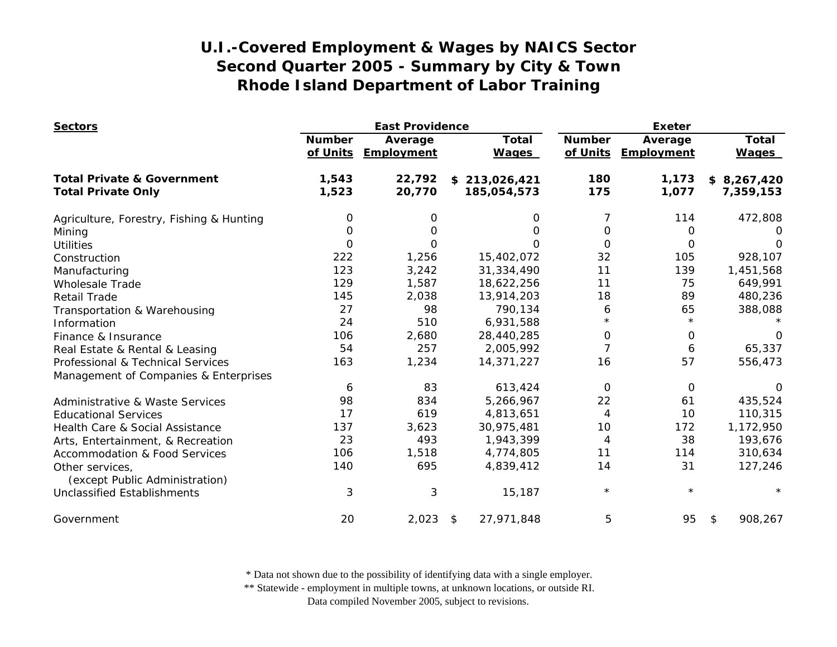| <b>Sectors</b>                                    |                           | <b>East Providence</b> |                              | <b>Exeter</b>  |                                |                       |
|---------------------------------------------------|---------------------------|------------------------|------------------------------|----------------|--------------------------------|-----------------------|
|                                                   | <b>Number</b><br>of Units | Average<br>Employment  | <b>Total</b><br><b>Wages</b> | <b>Number</b>  | Average<br>of Units Employment | Total<br><b>Wages</b> |
| <b>Total Private &amp; Government</b>             | 1,543                     | 22,792                 | \$213,026,421                | 180            | 1,173                          | \$8,267,420           |
| <b>Total Private Only</b>                         | 1,523                     | 20,770                 | 185,054,573                  | 175            | 1,077                          | 7,359,153             |
| Agriculture, Forestry, Fishing & Hunting          | 0                         | 0                      | 0                            | 7              | 114                            | 472,808               |
| Mining                                            | $\Omega$                  | O                      | $\Omega$                     | 0              | 0                              |                       |
| <b>Utilities</b>                                  | $\Omega$                  | 0                      | 0                            | O              | 0                              | $\Omega$              |
| Construction                                      | 222                       | 1,256                  | 15,402,072                   | 32             | 105                            | 928,107               |
| Manufacturing                                     | 123                       | 3,242                  | 31,334,490                   | 11             | 139                            | 1,451,568             |
| <b>Wholesale Trade</b>                            | 129                       | 1,587                  | 18,622,256                   | 11             | 75                             | 649,991               |
| <b>Retail Trade</b>                               | 145                       | 2,038                  | 13,914,203                   | 18             | 89                             | 480,236               |
| Transportation & Warehousing                      | 27                        | 98                     | 790,134                      | 6              | 65                             | 388,088               |
| Information                                       | 24                        | 510                    | 6,931,588                    | $\star$        | $\star$                        |                       |
| Finance & Insurance                               | 106                       | 2,680                  | 28,440,285                   | 0              | 0                              | $\Omega$              |
| Real Estate & Rental & Leasing                    | 54                        | 257                    | 2,005,992                    | $\overline{7}$ | 6                              | 65,337                |
| Professional & Technical Services                 | 163                       | 1,234                  | 14,371,227                   | 16             | 57                             | 556,473               |
| Management of Companies & Enterprises             |                           |                        |                              |                |                                |                       |
|                                                   | 6                         | 83                     | 613,424                      | 0              | 0                              | $\Omega$              |
| <b>Administrative &amp; Waste Services</b>        | 98                        | 834                    | 5,266,967                    | 22             | 61                             | 435,524               |
| <b>Educational Services</b>                       | 17                        | 619                    | 4,813,651                    | 4              | 10                             | 110,315               |
| Health Care & Social Assistance                   | 137                       | 3,623                  | 30,975,481                   | 10             | 172                            | 1,172,950             |
| Arts, Entertainment, & Recreation                 | 23                        | 493                    | 1,943,399                    | 4              | 38                             | 193,676               |
| <b>Accommodation &amp; Food Services</b>          | 106                       | 1,518                  | 4,774,805                    | 11             | 114                            | 310,634               |
| Other services,<br>(except Public Administration) | 140                       | 695                    | 4,839,412                    | 14             | 31                             | 127,246               |
| <b>Unclassified Establishments</b>                | 3                         | 3                      | 15,187                       | $\star$        | $\star$                        |                       |
| Government                                        | 20                        | 2,023                  | 27,971,848<br>\$             | 5              | 95                             | 908,267<br>\$         |

\* Data not shown due to the possibility of identifying data with a single employer.

\*\* Statewide - employment in multiple towns, at unknown locations, or outside RI.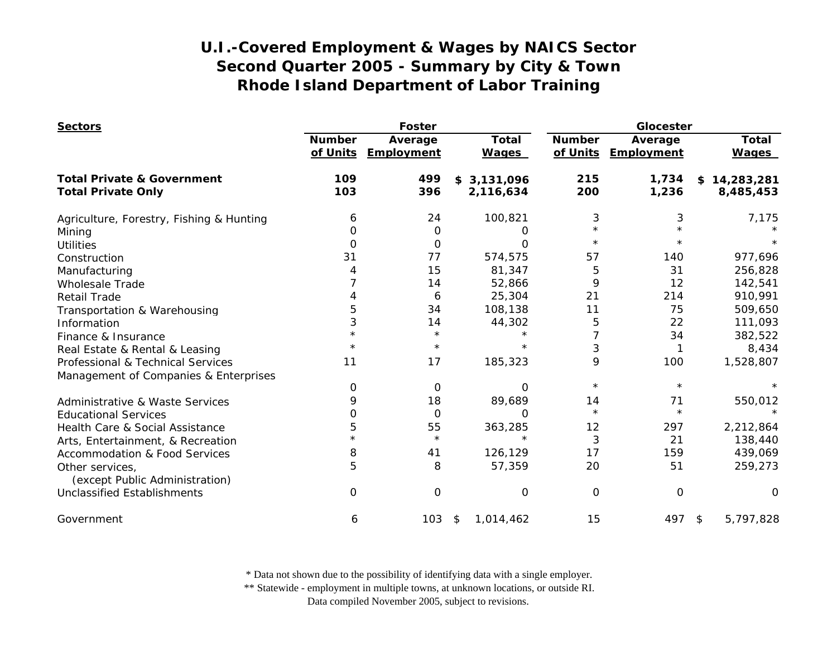| <b>Sectors</b>                           |                           | Foster                |                              | Glocester                 |                       |                              |
|------------------------------------------|---------------------------|-----------------------|------------------------------|---------------------------|-----------------------|------------------------------|
|                                          | <b>Number</b><br>of Units | Average<br>Employment | <b>Total</b><br><b>Wages</b> | <b>Number</b><br>of Units | Average<br>Employment | <b>Total</b><br><b>Wages</b> |
| <b>Total Private &amp; Government</b>    | 109                       | 499                   | \$3,131,096                  | 215                       | 1,734                 | \$14,283,281                 |
| <b>Total Private Only</b>                | 103                       | 396                   | 2,116,634                    | 200                       | 1,236                 | 8,485,453                    |
| Agriculture, Forestry, Fishing & Hunting | 6                         | 24                    | 100,821                      | 3                         | 3                     | 7,175                        |
| Mining                                   | 0                         | 0                     | O                            | $\star$                   |                       |                              |
| <b>Utilities</b>                         | 0                         | 0                     | O                            | $\star$                   | $^\star$              |                              |
| Construction                             | 31                        | 77                    | 574,575                      | 57                        | 140                   | 977,696                      |
| Manufacturing                            |                           | 15                    | 81,347                       | 5                         | 31                    | 256,828                      |
| <b>Wholesale Trade</b>                   |                           | 14                    | 52,866                       | 9                         | 12                    | 142,541                      |
| <b>Retail Trade</b>                      |                           | 6                     | 25,304                       | 21                        | 214                   | 910,991                      |
| Transportation & Warehousing             | 5                         | 34                    | 108,138                      | 11                        | 75                    | 509,650                      |
| Information                              | 3                         | 14                    | 44,302                       | 5                         | 22                    | 111,093                      |
| Finance & Insurance                      | $\star$                   | $\star$               |                              | 7                         | 34                    | 382,522                      |
| Real Estate & Rental & Leasing           | $^\star$                  | $\star$               | $\star$                      | 3                         | 1                     | 8,434                        |
| Professional & Technical Services        | 11                        | 17                    | 185,323                      | 9                         | 100                   | 1,528,807                    |
| Management of Companies & Enterprises    |                           |                       |                              |                           |                       |                              |
|                                          | 0                         | 0                     | O                            | $\star$                   | $\star$               |                              |
| Administrative & Waste Services          | 9                         | 18                    | 89,689                       | 14                        | 71                    | 550,012                      |
| <b>Educational Services</b>              | 0                         | 0                     | 0                            | $\star$                   | $\star$               |                              |
| Health Care & Social Assistance          | 5                         | 55                    | 363,285                      | 12                        | 297                   | 2,212,864                    |
| Arts, Entertainment, & Recreation        |                           | $\star$               | $\star$                      | 3                         | 21                    | 138,440                      |
| <b>Accommodation &amp; Food Services</b> | 8                         | 41                    | 126,129                      | 17                        | 159                   | 439,069                      |
| Other services,                          | 5                         | 8                     | 57,359                       | 20                        | 51                    | 259,273                      |
| (except Public Administration)           |                           |                       |                              |                           |                       |                              |
| <b>Unclassified Establishments</b>       | $\Omega$                  | 0                     | 0                            | $\Omega$                  | $\mathbf 0$           | 0                            |
| Government                               | 6                         | 103                   | 1,014,462<br>\$              | 15                        | 497                   | 5,797,828<br>\$              |

\* Data not shown due to the possibility of identifying data with a single employer.

\*\* Statewide - employment in multiple towns, at unknown locations, or outside RI.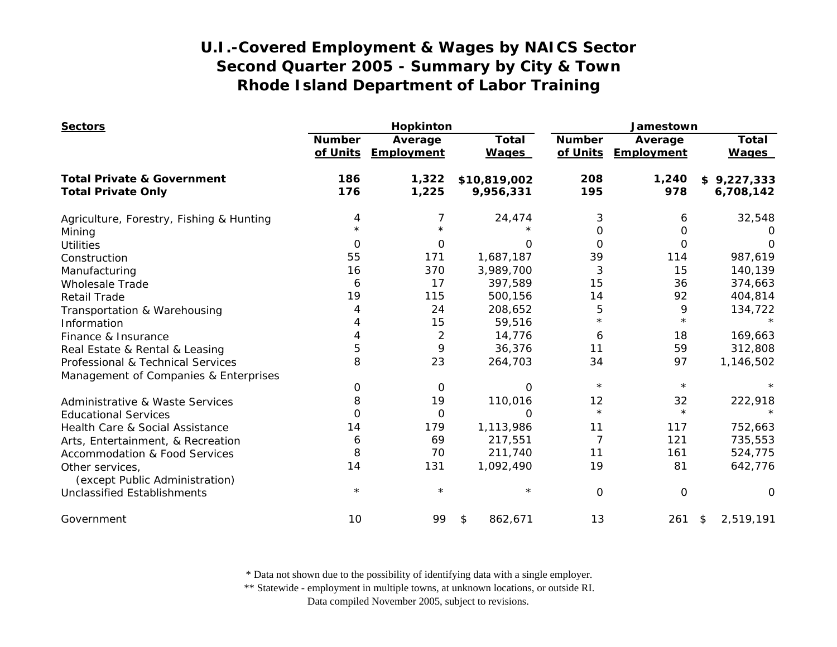| <b>Sectors</b>                                    |               | Hopkinton                      |                              | Jamestown                 |                       |                              |
|---------------------------------------------------|---------------|--------------------------------|------------------------------|---------------------------|-----------------------|------------------------------|
|                                                   | <b>Number</b> | Average<br>of Units Employment | <b>Total</b><br><b>Wages</b> | <b>Number</b><br>of Units | Average<br>Employment | <b>Total</b><br><b>Wages</b> |
| <b>Total Private &amp; Government</b>             | 186<br>176    | 1,322<br>1,225                 | \$10,819,002<br>9,956,331    | 208<br>195                | 1,240<br>978          | \$9,227,333<br>6,708,142     |
| <b>Total Private Only</b>                         |               |                                |                              |                           |                       |                              |
| Agriculture, Forestry, Fishing & Hunting          | 4             | 7                              | 24,474                       | 3                         | 6                     | 32,548                       |
| Mining                                            |               |                                |                              | 0                         | 0                     | $\Omega$                     |
| <b>Utilities</b>                                  | $\Omega$      | 0                              | ∩                            | $\Omega$                  | $\Omega$              | O                            |
| Construction                                      | 55            | 171                            | 1,687,187                    | 39                        | 114                   | 987,619                      |
| Manufacturing                                     | 16            | 370                            | 3,989,700                    | 3                         | 15                    | 140,139                      |
| <b>Wholesale Trade</b>                            | 6             | 17                             | 397,589                      | 15                        | 36                    | 374,663                      |
| <b>Retail Trade</b>                               | 19            | 115                            | 500,156                      | 14                        | 92                    | 404,814                      |
| Transportation & Warehousing                      | 4             | 24                             | 208,652                      | 5                         | 9                     | 134,722                      |
| Information                                       |               | 15                             | 59,516                       | $\star$                   | $\star$               |                              |
| Finance & Insurance                               |               | $\overline{2}$                 | 14,776                       | 6                         | 18                    | 169,663                      |
| Real Estate & Rental & Leasing                    | 5             | 9                              | 36,376                       | 11                        | 59                    | 312,808                      |
| Professional & Technical Services                 | 8             | 23                             | 264,703                      | 34                        | 97                    | 1,146,502                    |
| Management of Companies & Enterprises             |               |                                |                              |                           |                       |                              |
|                                                   | 0             | 0                              | $\Omega$                     | $\star$                   | $\star$               |                              |
| Administrative & Waste Services                   | 8             | 19                             | 110,016                      | 12                        | 32                    | 222,918                      |
| <b>Educational Services</b>                       | 0             | 0                              | $\Omega$                     | $\star$                   | $\star$               |                              |
| Health Care & Social Assistance                   | 14            | 179                            | 1,113,986                    | 11                        | 117                   | 752,663                      |
| Arts, Entertainment, & Recreation                 | 6             | 69                             | 217,551                      | 7                         | 121                   | 735,553                      |
| <b>Accommodation &amp; Food Services</b>          | 8             | 70                             | 211,740                      | 11                        | 161                   | 524,775                      |
| Other services,<br>(except Public Administration) | 14            | 131                            | 1,092,490                    | 19                        | 81                    | 642,776                      |
| <b>Unclassified Establishments</b>                | $\star$       | $\star$                        | $^\star$                     | 0                         | $\Omega$              | $\Omega$                     |
| Government                                        | 10            | 99                             | 862,671<br>\$                | 13                        | 261                   | 2,519,191<br>\$              |

\* Data not shown due to the possibility of identifying data with a single employer.

\*\* Statewide - employment in multiple towns, at unknown locations, or outside RI.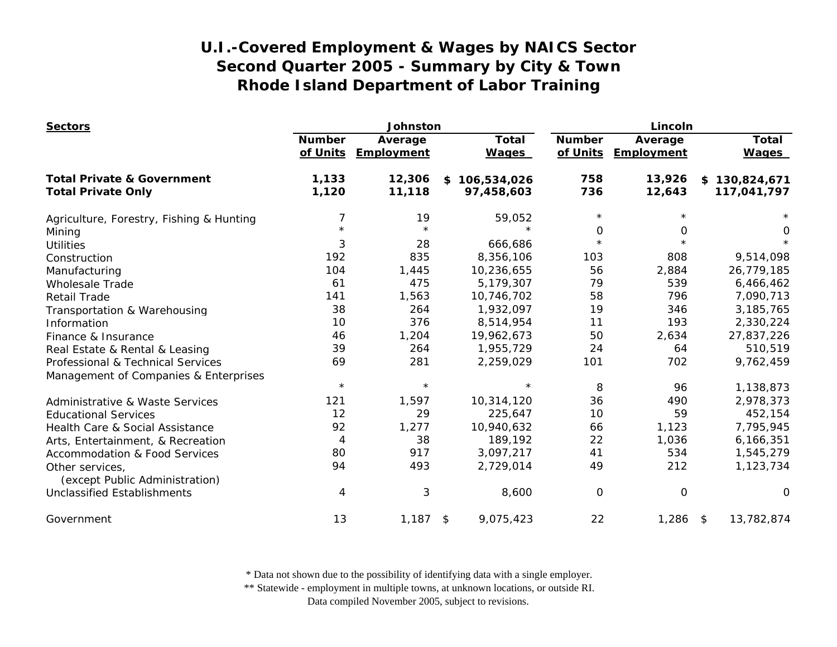| <b>Sectors</b>                                    |                           | Johnston              |                              |                           | Lincoln               |                              |  |
|---------------------------------------------------|---------------------------|-----------------------|------------------------------|---------------------------|-----------------------|------------------------------|--|
|                                                   | <b>Number</b><br>of Units | Average<br>Employment | <b>Total</b><br><b>Wages</b> | <b>Number</b><br>of Units | Average<br>Employment | <b>Total</b><br><b>Wages</b> |  |
| <b>Total Private &amp; Government</b>             | 1,133                     | 12,306                | 106,534,026<br>\$            | 758                       | 13,926                | \$130,824,671                |  |
| <b>Total Private Only</b>                         | 1,120                     | 11,118                | 97,458,603                   | 736                       | 12,643                | 117,041,797                  |  |
| Agriculture, Forestry, Fishing & Hunting          |                           | 19                    | 59,052                       | $\star$                   |                       |                              |  |
| Mining                                            |                           | $\star$               | $\star$                      | 0                         | 0                     | 0                            |  |
| <b>Utilities</b>                                  | 3                         | 28                    | 666,686                      | $\star$                   |                       |                              |  |
| Construction                                      | 192                       | 835                   | 8,356,106                    | 103                       | 808                   | 9,514,098                    |  |
| Manufacturing                                     | 104                       | 1,445                 | 10,236,655                   | 56                        | 2,884                 | 26,779,185                   |  |
| <b>Wholesale Trade</b>                            | 61                        | 475                   | 5,179,307                    | 79                        | 539                   | 6,466,462                    |  |
| <b>Retail Trade</b>                               | 141                       | 1,563                 | 10,746,702                   | 58                        | 796                   | 7,090,713                    |  |
| Transportation & Warehousing                      | 38                        | 264                   | 1,932,097                    | 19                        | 346                   | 3, 185, 765                  |  |
| Information                                       | 10                        | 376                   | 8,514,954                    | 11                        | 193                   | 2,330,224                    |  |
| Finance & Insurance                               | 46                        | 1,204                 | 19,962,673                   | 50                        | 2,634                 | 27,837,226                   |  |
| Real Estate & Rental & Leasing                    | 39                        | 264                   | 1,955,729                    | 24                        | 64                    | 510,519                      |  |
| Professional & Technical Services                 | 69                        | 281                   | 2,259,029                    | 101                       | 702                   | 9,762,459                    |  |
| Management of Companies & Enterprises             |                           |                       |                              |                           |                       |                              |  |
|                                                   | $\star$                   | $\star$               | $\star$                      | 8                         | 96                    | 1,138,873                    |  |
| Administrative & Waste Services                   | 121                       | 1,597                 | 10,314,120                   | 36                        | 490                   | 2,978,373                    |  |
| <b>Educational Services</b>                       | 12                        | 29                    | 225,647                      | 10                        | 59                    | 452,154                      |  |
| Health Care & Social Assistance                   | 92                        | 1,277                 | 10,940,632                   | 66                        | 1,123                 | 7,795,945                    |  |
| Arts, Entertainment, & Recreation                 | 4                         | 38                    | 189,192                      | 22                        | 1,036                 | 6,166,351                    |  |
| <b>Accommodation &amp; Food Services</b>          | 80                        | 917                   | 3,097,217                    | 41                        | 534                   | 1,545,279                    |  |
| Other services,<br>(except Public Administration) | 94                        | 493                   | 2,729,014                    | 49                        | 212                   | 1,123,734                    |  |
| <b>Unclassified Establishments</b>                | 4                         | 3                     | 8,600                        | 0                         | $\mathbf 0$           | 0                            |  |
| Government                                        | 13                        | 1,187                 | 9,075,423<br>$\frac{1}{2}$   | 22                        | $1,286$ \$            | 13,782,874                   |  |

\* Data not shown due to the possibility of identifying data with a single employer.

\*\* Statewide - employment in multiple towns, at unknown locations, or outside RI.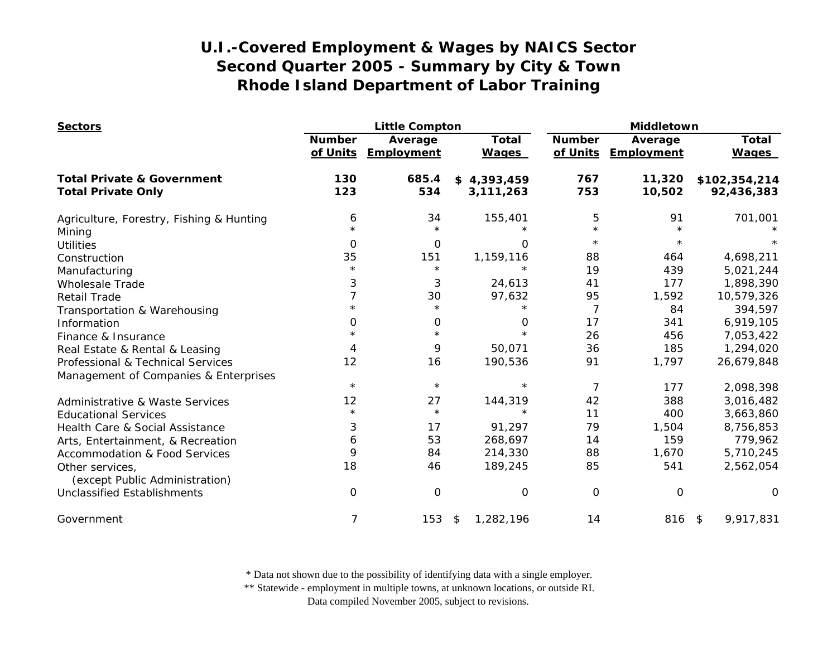| <b>Sectors</b>                                    |                           | <b>Little Compton</b> |                              |                           | Middletown            |                              |  |
|---------------------------------------------------|---------------------------|-----------------------|------------------------------|---------------------------|-----------------------|------------------------------|--|
|                                                   | <b>Number</b><br>of Units | Average<br>Employment | <b>Total</b><br><b>Wages</b> | <b>Number</b><br>of Units | Average<br>Employment | <b>Total</b><br><b>Wages</b> |  |
| <b>Total Private &amp; Government</b>             | 130                       | 685.4                 | \$4,393,459                  | 767                       | 11,320                | \$102,354,214                |  |
| <b>Total Private Only</b>                         | 123                       | 534                   | 3,111,263                    | 753                       | 10,502                | 92,436,383                   |  |
| Agriculture, Forestry, Fishing & Hunting          | 6                         | 34                    | 155,401                      | 5                         | 91                    | 701,001                      |  |
| Mining                                            | $\star$                   | $\star$               |                              | $\star$                   | $\star$               |                              |  |
| <b>Utilities</b>                                  | $\Omega$                  | $\mathbf 0$           | O                            | $\star$                   | $\star$               |                              |  |
| Construction                                      | 35                        | 151                   | 1,159,116                    | 88                        | 464                   | 4,698,211                    |  |
| Manufacturing                                     | $\star$                   | $\star$               | $\star$                      | 19                        | 439                   | 5,021,244                    |  |
| <b>Wholesale Trade</b>                            | 3                         | 3                     | 24,613                       | 41                        | 177                   | 1,898,390                    |  |
| <b>Retail Trade</b>                               | 7                         | 30                    | 97,632                       | 95                        | 1,592                 | 10,579,326                   |  |
| Transportation & Warehousing                      | $\star$                   | $\star$               | $\star$                      | $\overline{7}$            | 84                    | 394,597                      |  |
| Information                                       | 0                         | 0                     | 0                            | 17                        | 341                   | 6,919,105                    |  |
| Finance & Insurance                               |                           | $\star$               | $\star$                      | 26                        | 456                   | 7,053,422                    |  |
| Real Estate & Rental & Leasing                    | 4                         | 9                     | 50,071                       | 36                        | 185                   | 1,294,020                    |  |
| Professional & Technical Services                 | 12                        | 16                    | 190,536                      | 91                        | 1,797                 | 26,679,848                   |  |
| Management of Companies & Enterprises             |                           |                       |                              |                           |                       |                              |  |
|                                                   | $\star$                   | $\star$               | $\star$                      | 7                         | 177                   | 2,098,398                    |  |
| <b>Administrative &amp; Waste Services</b>        | 12                        | 27                    | 144,319                      | 42                        | 388                   | 3,016,482                    |  |
| <b>Educational Services</b>                       | $\star$                   | $\star$               | $\star$                      | 11                        | 400                   | 3,663,860                    |  |
| Health Care & Social Assistance                   | 3                         | 17                    | 91,297                       | 79                        | 1,504                 | 8,756,853                    |  |
| Arts, Entertainment, & Recreation                 | 6                         | 53                    | 268,697                      | 14                        | 159                   | 779,962                      |  |
| <b>Accommodation &amp; Food Services</b>          | 9                         | 84                    | 214,330                      | 88                        | 1,670                 | 5,710,245                    |  |
| Other services,<br>(except Public Administration) | 18                        | 46                    | 189,245                      | 85                        | 541                   | 2,562,054                    |  |
| <b>Unclassified Establishments</b>                | 0                         | $\mathbf 0$           | 0                            | O                         | $\mathbf 0$           | $\Omega$                     |  |
| Government                                        | 7                         | 153                   | $\frac{1}{2}$<br>1,282,196   | 14                        | 816 \$                | 9,917,831                    |  |

\* Data not shown due to the possibility of identifying data with a single employer.

\*\* Statewide - employment in multiple towns, at unknown locations, or outside RI.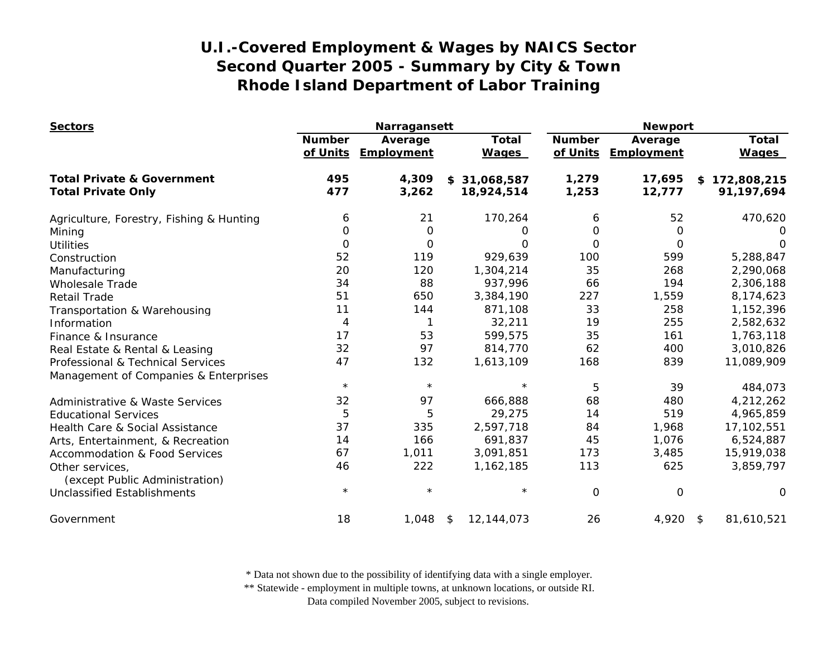| <b>Sectors</b>                                    | Narragansett              |                       |                              | <b>Newport</b>            |                       |                              |
|---------------------------------------------------|---------------------------|-----------------------|------------------------------|---------------------------|-----------------------|------------------------------|
|                                                   | <b>Number</b><br>of Units | Average<br>Employment | <b>Total</b><br><b>Wages</b> | <b>Number</b><br>of Units | Average<br>Employment | <b>Total</b><br><b>Wages</b> |
| <b>Total Private &amp; Government</b>             | 495                       | 4,309                 | \$31,068,587                 | 1,279                     | 17,695                | \$172,808,215                |
| <b>Total Private Only</b>                         | 477                       | 3,262                 | 18,924,514                   | 1,253                     | 12,777                | 91,197,694                   |
| Agriculture, Forestry, Fishing & Hunting          | 6                         | 21                    | 170,264                      | 6                         | 52                    | 470,620                      |
| Mining                                            | 0                         | 0                     | 0                            | 0                         | 0                     | O                            |
| <b>Utilities</b>                                  | 0                         | 0                     | O                            | 0                         | 0                     | $\Omega$                     |
| Construction                                      | 52                        | 119                   | 929,639                      | 100                       | 599                   | 5,288,847                    |
| Manufacturing                                     | 20                        | 120                   | 1,304,214                    | 35                        | 268                   | 2,290,068                    |
| <b>Wholesale Trade</b>                            | 34                        | 88                    | 937,996                      | 66                        | 194                   | 2,306,188                    |
| <b>Retail Trade</b>                               | 51                        | 650                   | 3,384,190                    | 227                       | 1,559                 | 8,174,623                    |
| Transportation & Warehousing                      | 11                        | 144                   | 871,108                      | 33                        | 258                   | 1,152,396                    |
| Information                                       | 4                         | 1                     | 32,211                       | 19                        | 255                   | 2,582,632                    |
| Finance & Insurance                               | 17                        | 53                    | 599,575                      | 35                        | 161                   | 1,763,118                    |
| Real Estate & Rental & Leasing                    | 32                        | 97                    | 814,770                      | 62                        | 400                   | 3,010,826                    |
| Professional & Technical Services                 | 47                        | 132                   | 1,613,109                    | 168                       | 839                   | 11,089,909                   |
| Management of Companies & Enterprises             |                           |                       |                              |                           |                       |                              |
|                                                   | $\star$                   | $\star$               | $\star$                      | 5                         | 39                    | 484,073                      |
| <b>Administrative &amp; Waste Services</b>        | 32                        | 97                    | 666,888                      | 68                        | 480                   | 4,212,262                    |
| <b>Educational Services</b>                       | $\overline{5}$            | 5                     | 29,275                       | 14                        | 519                   | 4,965,859                    |
| Health Care & Social Assistance                   | 37                        | 335                   | 2,597,718                    | 84                        | 1,968                 | 17,102,551                   |
| Arts, Entertainment, & Recreation                 | 14                        | 166                   | 691,837                      | 45                        | 1,076                 | 6,524,887                    |
| <b>Accommodation &amp; Food Services</b>          | 67                        | 1,011                 | 3,091,851                    | 173                       | 3,485                 | 15,919,038                   |
| Other services,<br>(except Public Administration) | 46                        | 222                   | 1,162,185                    | 113                       | 625                   | 3,859,797                    |
| <b>Unclassified Establishments</b>                | $\star$                   | $\star$               | $\star$                      | $\overline{O}$            | 0                     | O                            |
| Government                                        | 18                        | 1,048                 | 12,144,073<br>\$             | 26                        | 4,920                 | 81,610,521<br>- \$           |

\* Data not shown due to the possibility of identifying data with a single employer.

\*\* Statewide - employment in multiple towns, at unknown locations, or outside RI.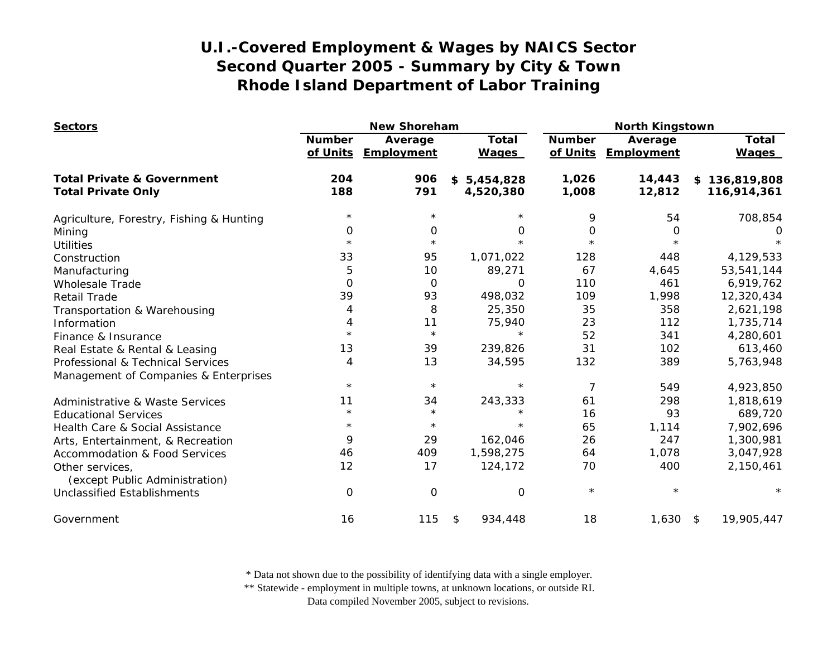| <b>Sectors</b>                                                     |                           | <b>New Shoreham</b>   |                              | <b>North Kingstown</b>    |                       |                                  |
|--------------------------------------------------------------------|---------------------------|-----------------------|------------------------------|---------------------------|-----------------------|----------------------------------|
|                                                                    | <b>Number</b><br>of Units | Average<br>Employment | <b>Total</b><br><b>Wages</b> | <b>Number</b><br>of Units | Average<br>Employment | <b>Total</b><br><b>Wages</b>     |
| <b>Total Private &amp; Government</b><br><b>Total Private Only</b> | 204<br>188                | 906<br>791            | \$5,454,828<br>4,520,380     | 1,026<br>1,008            | 14,443<br>12,812      | 136,819,808<br>\$<br>116,914,361 |
|                                                                    |                           |                       |                              |                           |                       |                                  |
| Agriculture, Forestry, Fishing & Hunting                           | $^\star$                  | $\star$               |                              | 9                         | 54                    | 708,854                          |
| Mining                                                             | 0                         | 0                     | 0                            | 0                         | 0                     |                                  |
| <b>Utilities</b>                                                   | $^\star$                  | $\star$               | $\star$                      | $\star$                   | $\star$               |                                  |
| Construction                                                       | 33                        | 95                    | 1,071,022                    | 128                       | 448                   | 4,129,533                        |
| Manufacturing                                                      | 5                         | 10                    | 89,271                       | 67                        | 4,645                 | 53,541,144                       |
| <b>Wholesale Trade</b>                                             | $\mathbf 0$               | 0                     | 0                            | 110                       | 461                   | 6,919,762                        |
| <b>Retail Trade</b>                                                | 39                        | 93                    | 498,032                      | 109                       | 1,998                 | 12,320,434                       |
| Transportation & Warehousing                                       | 4                         | 8                     | 25,350                       | 35                        | 358                   | 2,621,198                        |
| Information                                                        | 4                         | 11                    | 75,940                       | 23                        | 112                   | 1,735,714                        |
| Finance & Insurance                                                | $\star$                   | $\star$               | $\star$                      | 52                        | 341                   | 4,280,601                        |
| Real Estate & Rental & Leasing                                     | 13                        | 39                    | 239,826                      | 31                        | 102                   | 613,460                          |
| Professional & Technical Services                                  | 4                         | 13                    | 34,595                       | 132                       | 389                   | 5,763,948                        |
| Management of Companies & Enterprises                              |                           |                       |                              |                           |                       |                                  |
|                                                                    | $\star$                   | $\star$               | $\star$                      | 7                         | 549                   | 4,923,850                        |
| <b>Administrative &amp; Waste Services</b>                         | 11                        | 34                    | 243,333                      | 61                        | 298                   | 1,818,619                        |
| <b>Educational Services</b>                                        | $^\star$                  | $\star$               | $\star$                      | 16                        | 93                    | 689,720                          |
| Health Care & Social Assistance                                    | $\star$                   | $\star$               | $\star$                      | 65                        | 1,114                 | 7,902,696                        |
| Arts, Entertainment, & Recreation                                  | 9                         | 29                    | 162,046                      | 26                        | 247                   | 1,300,981                        |
| <b>Accommodation &amp; Food Services</b>                           | 46                        | 409                   | 1,598,275                    | 64                        | 1,078                 | 3,047,928                        |
| Other services,<br>(except Public Administration)                  | 12                        | 17                    | 124,172                      | 70                        | 400                   | 2,150,461                        |
| <b>Unclassified Establishments</b>                                 | 0                         | 0                     | 0                            | $\star$                   | $\star$               |                                  |
| Government                                                         | 16                        | 115                   | 934,448<br>\$                | 18                        | 1,630                 | 19,905,447<br>\$                 |

\* Data not shown due to the possibility of identifying data with a single employer.

\*\* Statewide - employment in multiple towns, at unknown locations, or outside RI.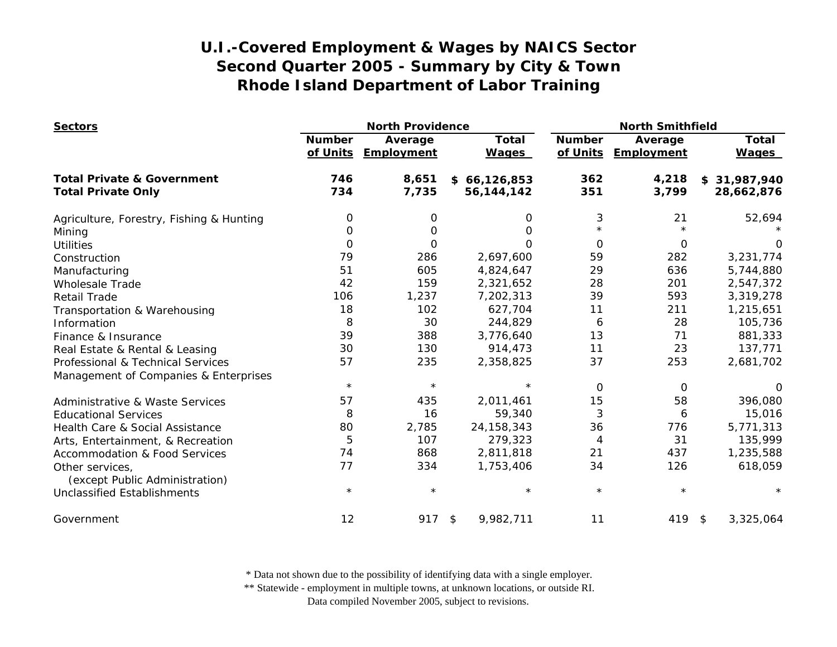| <b>Sectors</b>                           | <b>North Providence</b>   |                       |                              | <b>North Smithfield</b>   |                       |                              |
|------------------------------------------|---------------------------|-----------------------|------------------------------|---------------------------|-----------------------|------------------------------|
|                                          | <b>Number</b><br>of Units | Average<br>Employment | <b>Total</b><br><b>Wages</b> | <b>Number</b><br>of Units | Average<br>Employment | <b>Total</b><br><b>Wages</b> |
| <b>Total Private &amp; Government</b>    | 746                       | 8,651                 | \$66,126,853                 | 362                       | 4,218                 | \$31,987,940                 |
| <b>Total Private Only</b>                | 734                       | 7,735                 | 56, 144, 142                 | 351                       | 3,799                 | 28,662,876                   |
| Agriculture, Forestry, Fishing & Hunting | 0                         | 0                     | 0                            | 3                         | 21                    | 52,694                       |
| Mining                                   | 0                         | 0                     | 0                            | $\star$                   |                       |                              |
| <b>Utilities</b>                         | 0                         | 0                     | $\Omega$                     | $\Omega$                  | $\mathbf 0$           | $\Omega$                     |
| Construction                             | 79                        | 286                   | 2,697,600                    | 59                        | 282                   | 3,231,774                    |
| Manufacturing                            | 51                        | 605                   | 4,824,647                    | 29                        | 636                   | 5,744,880                    |
| <b>Wholesale Trade</b>                   | 42                        | 159                   | 2,321,652                    | 28                        | 201                   | 2,547,372                    |
| <b>Retail Trade</b>                      | 106                       | 1,237                 | 7,202,313                    | 39                        | 593                   | 3,319,278                    |
| Transportation & Warehousing             | 18                        | 102                   | 627,704                      | 11                        | 211                   | 1,215,651                    |
| Information                              | 8                         | 30                    | 244,829                      | 6                         | 28                    | 105,736                      |
| Finance & Insurance                      | 39                        | 388                   | 3,776,640                    | 13                        | 71                    | 881,333                      |
| Real Estate & Rental & Leasing           | 30                        | 130                   | 914,473                      | 11                        | 23                    | 137,771                      |
| Professional & Technical Services        | 57                        | 235                   | 2,358,825                    | 37                        | 253                   | 2,681,702                    |
| Management of Companies & Enterprises    |                           |                       |                              |                           |                       |                              |
|                                          | $\star$                   | $\star$               | $\star$                      | $\Omega$                  | 0                     | 0                            |
| Administrative & Waste Services          | 57                        | 435                   | 2,011,461                    | 15                        | 58                    | 396,080                      |
| <b>Educational Services</b>              | 8                         | 16                    | 59,340                       | 3                         | 6                     | 15,016                       |
| Health Care & Social Assistance          | 80                        | 2,785                 | 24, 158, 343                 | 36                        | 776                   | 5,771,313                    |
| Arts, Entertainment, & Recreation        | 5                         | 107                   | 279,323                      | $\overline{4}$            | 31                    | 135,999                      |
| <b>Accommodation &amp; Food Services</b> | 74                        | 868                   | 2,811,818                    | 21                        | 437                   | 1,235,588                    |
| Other services,                          | 77                        | 334                   | 1,753,406                    | 34                        | 126                   | 618,059                      |
| (except Public Administration)           |                           |                       |                              |                           |                       |                              |
| <b>Unclassified Establishments</b>       | $\star$                   | $\star$               | $\star$                      | $\star$                   | $^\star$              |                              |
| Government                               | 12                        | 917                   | 9,982,711<br>$\frac{1}{2}$   | 11                        | 419 \$                | 3,325,064                    |

\* Data not shown due to the possibility of identifying data with a single employer.

\*\* Statewide - employment in multiple towns, at unknown locations, or outside RI.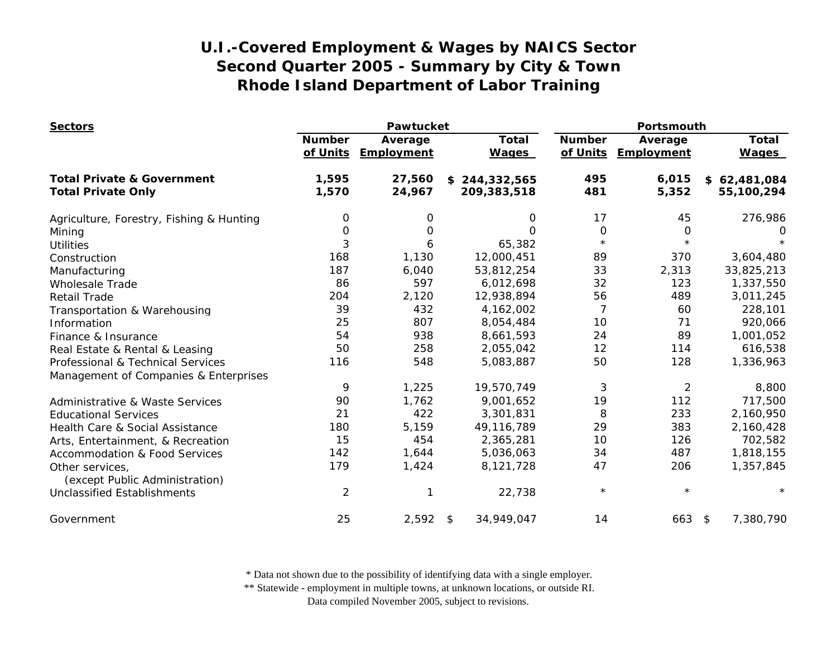| <b>Sectors</b>                                    | <b>Pawtucket</b>          |                       |                              |                           | Portsmouth            |                              |  |
|---------------------------------------------------|---------------------------|-----------------------|------------------------------|---------------------------|-----------------------|------------------------------|--|
|                                                   | <b>Number</b><br>of Units | Average<br>Employment | <b>Total</b><br><b>Wages</b> | <b>Number</b><br>of Units | Average<br>Employment | <b>Total</b><br><b>Wages</b> |  |
| <b>Total Private &amp; Government</b>             | 1,595                     | 27,560                | \$244,332,565                | 495                       | 6,015                 | \$62,481,084                 |  |
| <b>Total Private Only</b>                         | 1,570                     | 24,967                | 209,383,518                  | 481                       | 5,352                 | 55,100,294                   |  |
| Agriculture, Forestry, Fishing & Hunting          | 0                         | 0                     | 0                            | 17                        | 45                    | 276,986                      |  |
| Mining                                            | $\mathbf 0$               | O                     | $\Omega$                     | $\mathbf 0$               | 0                     | O                            |  |
| <b>Utilities</b>                                  | 3                         | 6                     | 65,382                       | $\star$                   | $\star$               |                              |  |
| Construction                                      | 168                       | 1,130                 | 12,000,451                   | 89                        | 370                   | 3,604,480                    |  |
| Manufacturing                                     | 187                       | 6,040                 | 53,812,254                   | 33                        | 2,313                 | 33,825,213                   |  |
| <b>Wholesale Trade</b>                            | 86                        | 597                   | 6,012,698                    | 32                        | 123                   | 1,337,550                    |  |
| <b>Retail Trade</b>                               | 204                       | 2,120                 | 12,938,894                   | 56                        | 489                   | 3,011,245                    |  |
| Transportation & Warehousing                      | 39                        | 432                   | 4,162,002                    | $\overline{7}$            | 60                    | 228,101                      |  |
| Information                                       | 25                        | 807                   | 8,054,484                    | 10                        | 71                    | 920,066                      |  |
| Finance & Insurance                               | 54                        | 938                   | 8,661,593                    | 24                        | 89                    | 1,001,052                    |  |
| Real Estate & Rental & Leasing                    | 50                        | 258                   | 2,055,042                    | 12                        | 114                   | 616,538                      |  |
| Professional & Technical Services                 | 116                       | 548                   | 5,083,887                    | 50                        | 128                   | 1,336,963                    |  |
| Management of Companies & Enterprises             |                           |                       |                              |                           |                       |                              |  |
|                                                   | 9                         | 1,225                 | 19,570,749                   | 3                         | $\overline{2}$        | 8,800                        |  |
| <b>Administrative &amp; Waste Services</b>        | 90                        | 1,762                 | 9,001,652                    | 19                        | 112                   | 717,500                      |  |
| <b>Educational Services</b>                       | 21                        | 422                   | 3,301,831                    | 8                         | 233                   | 2,160,950                    |  |
| Health Care & Social Assistance                   | 180                       | 5,159                 | 49,116,789                   | 29                        | 383                   | 2,160,428                    |  |
| Arts, Entertainment, & Recreation                 | 15                        | 454                   | 2,365,281                    | 10                        | 126                   | 702,582                      |  |
| <b>Accommodation &amp; Food Services</b>          | 142                       | 1,644                 | 5,036,063                    | 34                        | 487                   | 1,818,155                    |  |
| Other services,<br>(except Public Administration) | 179                       | 1,424                 | 8,121,728                    | 47                        | 206                   | 1,357,845                    |  |
| <b>Unclassified Establishments</b>                | $\overline{2}$            |                       | 22,738                       | $\star$                   | $\star$               | $\star$                      |  |
| Government                                        | 25                        | 2,592                 | \$<br>34,949,047             | 14                        | 663                   | 7,380,790<br>$\sqrt{2}$      |  |

\* Data not shown due to the possibility of identifying data with a single employer.

\*\* Statewide - employment in multiple towns, at unknown locations, or outside RI.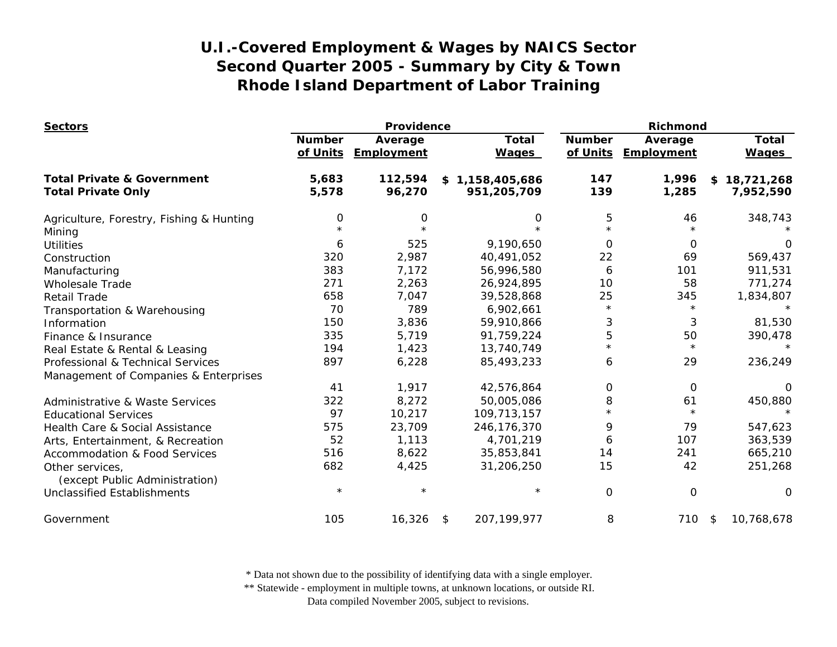| <b>Sectors</b>                                    | Providence                |                       |                     |                              | Richmond                  |                              |                       |
|---------------------------------------------------|---------------------------|-----------------------|---------------------|------------------------------|---------------------------|------------------------------|-----------------------|
|                                                   | <b>Number</b><br>of Units | Average<br>Employment |                     | <b>Total</b><br><b>Wages</b> | <b>Number</b><br>of Units | Average<br><b>Employment</b> | Total<br><b>Wages</b> |
| <b>Total Private &amp; Government</b>             | 5,683                     | 112,594               | \$1,158,405,686     |                              | 147                       | 1,996                        | 18,721,268<br>\$      |
| <b>Total Private Only</b>                         | 5,578                     | 96,270                | 951,205,709         |                              | 139                       | 1,285                        | 7,952,590             |
| Agriculture, Forestry, Fishing & Hunting          | 0                         | 0                     |                     | 0                            | 5                         | 46                           | 348,743               |
| Mining                                            |                           |                       |                     |                              | $\star$                   |                              |                       |
| <b>Utilities</b>                                  | 6                         | 525                   |                     | 9,190,650                    | $\Omega$                  | 0                            | 0                     |
| Construction                                      | 320                       | 2,987                 | 40,491,052          |                              | 22                        | 69                           | 569,437               |
| Manufacturing                                     | 383                       | 7,172                 | 56,996,580          |                              | 6                         | 101                          | 911,531               |
| <b>Wholesale Trade</b>                            | 271                       | 2,263                 | 26,924,895          |                              | 10                        | 58                           | 771,274               |
| <b>Retail Trade</b>                               | 658                       | 7,047                 | 39,528,868          |                              | 25                        | 345                          | 1,834,807             |
| Transportation & Warehousing                      | 70                        | 789                   |                     | 6,902,661                    | $\star$                   | $\star$                      |                       |
| Information                                       | 150                       | 3,836                 | 59,910,866          |                              | 3                         | 3                            | 81,530                |
| Finance & Insurance                               | 335                       | 5,719                 | 91,759,224          |                              | 5                         | 50                           | 390,478               |
| Real Estate & Rental & Leasing                    | 194                       | 1,423                 | 13,740,749          |                              | $\star$                   | $\star$                      | $\star$               |
| Professional & Technical Services                 | 897                       | 6,228                 | 85,493,233          |                              | 6                         | 29                           | 236,249               |
| Management of Companies & Enterprises             |                           |                       |                     |                              |                           |                              |                       |
|                                                   | 41                        | 1,917                 | 42,576,864          |                              | 0                         | 0                            | 0                     |
| Administrative & Waste Services                   | 322                       | 8,272                 | 50,005,086          |                              | 8                         | 61                           | 450,880               |
| <b>Educational Services</b>                       | 97                        | 10,217                | 109,713,157         |                              | $\star$                   | $\star$                      | $\star$               |
| Health Care & Social Assistance                   | 575                       | 23,709                | 246,176,370         |                              | 9                         | 79                           | 547,623               |
| Arts, Entertainment, & Recreation                 | 52                        | 1,113                 |                     | 4,701,219                    | 6                         | 107                          | 363,539               |
| <b>Accommodation &amp; Food Services</b>          | 516                       | 8,622                 | 35,853,841          |                              | 14                        | 241                          | 665,210               |
| Other services,<br>(except Public Administration) | 682                       | 4,425                 | 31,206,250          |                              | 15                        | 42                           | 251,268               |
| <b>Unclassified Establishments</b>                | $\star$                   |                       |                     | $\star$                      | $\mathbf 0$               | O                            | $\Omega$              |
| Government                                        | 105                       | 16,326                | 207, 199, 977<br>\$ |                              | 8                         | 710                          | 10,768,678<br>\$      |

\* Data not shown due to the possibility of identifying data with a single employer.

\*\* Statewide - employment in multiple towns, at unknown locations, or outside RI.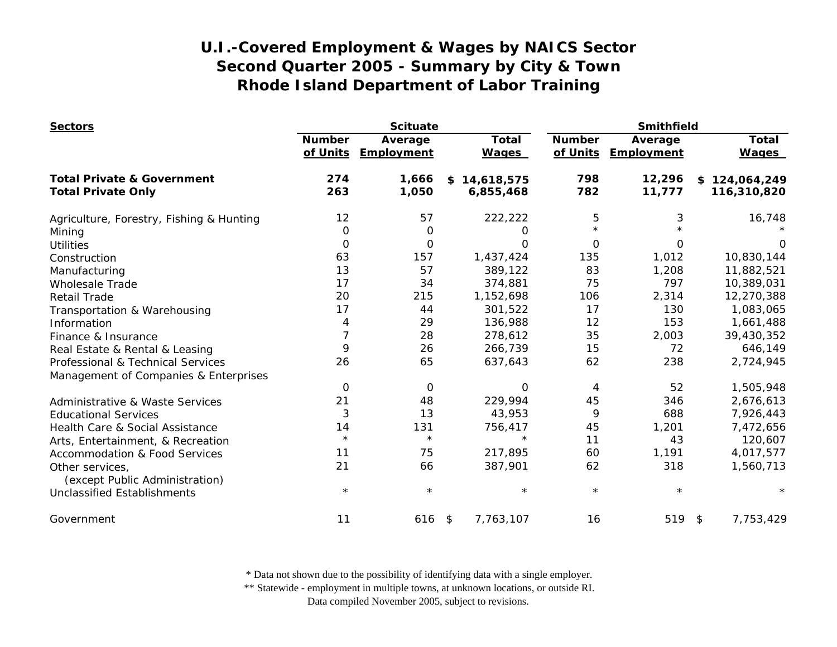| <b>Sectors</b>                             | <b>Scituate</b> |             |              | Smithfield    |            |                   |
|--------------------------------------------|-----------------|-------------|--------------|---------------|------------|-------------------|
|                                            | <b>Number</b>   | Average     | <b>Total</b> | <b>Number</b> | Average    | <b>Total</b>      |
|                                            | of Units        | Employment  | <b>Wages</b> | of Units      | Employment | <b>Wages</b>      |
| <b>Total Private &amp; Government</b>      | 274             | 1,666       | \$14,618,575 | 798           | 12,296     | \$124,064,249     |
| <b>Total Private Only</b>                  | 263             | 1,050       | 6,855,468    | 782           | 11,777     | 116,310,820       |
| Agriculture, Forestry, Fishing & Hunting   | 12              | 57          | 222,222      | 5             | 3          | 16,748            |
| Mining                                     | $\mathbf 0$     | 0           | 0            | $\star$       |            |                   |
| <b>Utilities</b>                           | 0               | O           | 0            | $\Omega$      | O          |                   |
| Construction                               | 63              | 157         | 1,437,424    | 135           | 1,012      | 10,830,144        |
| Manufacturing                              | 13              | 57          | 389,122      | 83            | 1,208      | 11,882,521        |
| <b>Wholesale Trade</b>                     | 17              | 34          | 374,881      | 75            | 797        | 10,389,031        |
| <b>Retail Trade</b>                        | 20              | 215         | 1,152,698    | 106           | 2,314      | 12,270,388        |
| Transportation & Warehousing               | 17              | 44          | 301,522      | 17            | 130        | 1,083,065         |
| Information                                | 4               | 29          | 136,988      | 12            | 153        | 1,661,488         |
| Finance & Insurance                        | $\overline{7}$  | 28          | 278,612      | 35            | 2,003      | 39,430,352        |
| Real Estate & Rental & Leasing             | 9               | 26          | 266,739      | 15            | 72         | 646,149           |
| Professional & Technical Services          | 26              | 65          | 637,643      | 62            | 238        | 2,724,945         |
| Management of Companies & Enterprises      |                 |             |              |               |            |                   |
|                                            | 0               | $\mathbf 0$ | 0            | 4             | 52         | 1,505,948         |
| <b>Administrative &amp; Waste Services</b> | 21              | 48          | 229,994      | 45            | 346        | 2,676,613         |
| <b>Educational Services</b>                | 3               | 13          | 43,953       | 9             | 688        | 7,926,443         |
| Health Care & Social Assistance            | 14              | 131         | 756,417      | 45            | 1,201      | 7,472,656         |
| Arts, Entertainment, & Recreation          | $\star$         | $\star$     | $\star$      | 11            | 43         | 120,607           |
| <b>Accommodation &amp; Food Services</b>   | 11              | 75          | 217,895      | 60            | 1,191      | 4,017,577         |
| Other services,                            | 21              | 66          | 387,901      | 62            | 318        | 1,560,713         |
| (except Public Administration)             |                 |             |              |               |            |                   |
| Unclassified Establishments                | $\star$         | $\star$     | $\star$      | $\star$       | $\star$    | $^\star$          |
| Government                                 | 11              | $616$ \$    | 7,763,107    | 16            | 519        | 7,753,429<br>- \$ |

\* Data not shown due to the possibility of identifying data with a single employer.

\*\* Statewide - employment in multiple towns, at unknown locations, or outside RI.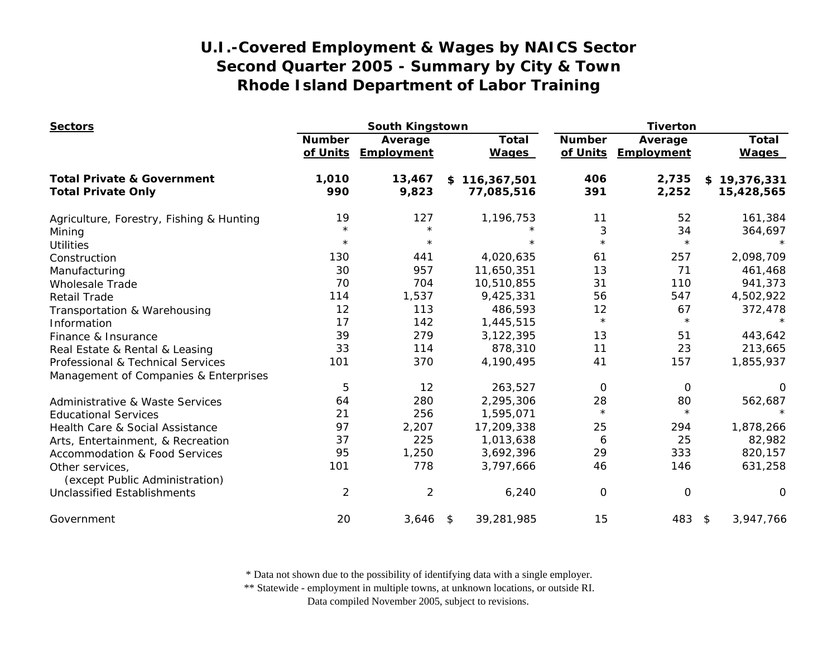| <b>Sectors</b>                                    | South Kingstown           |                       |                              | <b>Tiverton</b>           |                       |                              |
|---------------------------------------------------|---------------------------|-----------------------|------------------------------|---------------------------|-----------------------|------------------------------|
|                                                   | <b>Number</b><br>of Units | Average<br>Employment | <b>Total</b><br><b>Wages</b> | <b>Number</b><br>of Units | Average<br>Employment | <b>Total</b><br><b>Wages</b> |
| <b>Total Private &amp; Government</b>             | 1,010                     | 13,467                | 116,367,501<br>\$            | 406                       | 2,735                 | \$19,376,331                 |
| <b>Total Private Only</b>                         | 990                       | 9,823                 | 77,085,516                   | 391                       | 2,252                 | 15,428,565                   |
| Agriculture, Forestry, Fishing & Hunting          | 19                        | 127                   | 1,196,753                    | 11                        | 52                    | 161,384                      |
| Mining                                            | $\star$                   | $\star$               | $\star$                      | 3                         | 34                    | 364,697                      |
| <b>Utilities</b>                                  | $\star$                   | $\star$               | $\star$                      | $\star$                   | $^\star$              |                              |
| Construction                                      | 130                       | 441                   | 4,020,635                    | 61                        | 257                   | 2,098,709                    |
| Manufacturing                                     | 30                        | 957                   | 11,650,351                   | 13                        | 71                    | 461,468                      |
| <b>Wholesale Trade</b>                            | 70                        | 704                   | 10,510,855                   | 31                        | 110                   | 941,373                      |
| <b>Retail Trade</b>                               | 114                       | 1,537                 | 9,425,331                    | 56                        | 547                   | 4,502,922                    |
| Transportation & Warehousing                      | 12                        | 113                   | 486,593                      | 12                        | 67                    | 372,478                      |
| Information                                       | 17                        | 142                   | 1,445,515                    | $\star$                   | $\star$               |                              |
| Finance & Insurance                               | 39                        | 279                   | 3,122,395                    | 13                        | 51                    | 443,642                      |
| Real Estate & Rental & Leasing                    | 33                        | 114                   | 878,310                      | 11                        | 23                    | 213,665                      |
| Professional & Technical Services                 | 101                       | 370                   | 4,190,495                    | 41                        | 157                   | 1,855,937                    |
| Management of Companies & Enterprises             |                           |                       |                              |                           |                       |                              |
|                                                   | 5                         | 12                    | 263,527                      | 0                         | 0                     | 0                            |
| Administrative & Waste Services                   | 64                        | 280                   | 2,295,306                    | 28                        | 80                    | 562,687                      |
| <b>Educational Services</b>                       | 21                        | 256                   | 1,595,071                    | $\star$                   | $\star$               |                              |
| Health Care & Social Assistance                   | 97                        | 2,207                 | 17,209,338                   | 25                        | 294                   | 1,878,266                    |
| Arts, Entertainment, & Recreation                 | 37                        | 225                   | 1,013,638                    | 6                         | 25                    | 82,982                       |
| <b>Accommodation &amp; Food Services</b>          | 95                        | 1,250                 | 3,692,396                    | 29                        | 333                   | 820,157                      |
| Other services,<br>(except Public Administration) | 101                       | 778                   | 3,797,666                    | 46                        | 146                   | 631,258                      |
| <b>Unclassified Establishments</b>                | $\overline{2}$            | $\overline{2}$        | 6,240                        | 0                         | $\mathbf 0$           | 0                            |
| Government                                        | 20                        | 3,646                 | 39,281,985<br>\$             | 15                        | 483                   | 3,947,766<br>\$              |

\* Data not shown due to the possibility of identifying data with a single employer.

\*\* Statewide - employment in multiple towns, at unknown locations, or outside RI.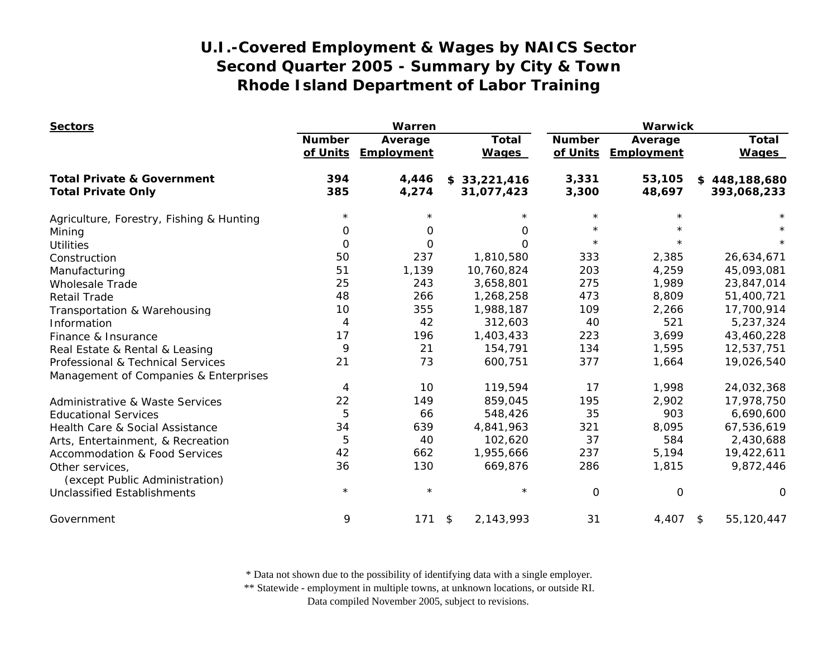| <b>Sectors</b>                                    | Warren                    |                       |                              | <b>Warwick</b>            |                       |                              |
|---------------------------------------------------|---------------------------|-----------------------|------------------------------|---------------------------|-----------------------|------------------------------|
|                                                   | <b>Number</b><br>of Units | Average<br>Employment | <b>Total</b><br><b>Wages</b> | <b>Number</b><br>of Units | Average<br>Employment | <b>Total</b><br><b>Wages</b> |
| <b>Total Private &amp; Government</b>             | 394                       | 4,446                 | \$33,221,416                 | 3,331                     | 53,105                | \$448,188,680                |
| <b>Total Private Only</b>                         | 385                       | 4,274                 | 31,077,423                   | 3,300                     | 48,697                | 393,068,233                  |
| Agriculture, Forestry, Fishing & Hunting          | $\star$                   | $^\star$              | $\star$                      | $\star$                   |                       |                              |
| Mining                                            | 0                         | 0                     | 0                            | $\star$                   |                       |                              |
| <b>Utilities</b>                                  | 0                         | 0                     | $\Omega$                     | $\star$                   |                       |                              |
| Construction                                      | 50                        | 237                   | 1,810,580                    | 333                       | 2,385                 | 26,634,671                   |
| Manufacturing                                     | 51                        | 1,139                 | 10,760,824                   | 203                       | 4,259                 | 45,093,081                   |
| <b>Wholesale Trade</b>                            | 25                        | 243                   | 3,658,801                    | 275                       | 1,989                 | 23,847,014                   |
| <b>Retail Trade</b>                               | 48                        | 266                   | 1,268,258                    | 473                       | 8,809                 | 51,400,721                   |
| Transportation & Warehousing                      | 10                        | 355                   | 1,988,187                    | 109                       | 2,266                 | 17,700,914                   |
| Information                                       | $\overline{4}$            | 42                    | 312,603                      | 40                        | 521                   | 5,237,324                    |
| Finance & Insurance                               | 17                        | 196                   | 1,403,433                    | 223                       | 3,699                 | 43,460,228                   |
| Real Estate & Rental & Leasing                    | 9                         | 21                    | 154,791                      | 134                       | 1,595                 | 12,537,751                   |
| Professional & Technical Services                 | 21                        | 73                    | 600,751                      | 377                       | 1,664                 | 19,026,540                   |
| Management of Companies & Enterprises             |                           |                       |                              |                           |                       |                              |
|                                                   | 4                         | 10                    | 119,594                      | 17                        | 1,998                 | 24,032,368                   |
| <b>Administrative &amp; Waste Services</b>        | 22                        | 149                   | 859,045                      | 195                       | 2,902                 | 17,978,750                   |
| <b>Educational Services</b>                       | 5                         | 66                    | 548,426                      | 35                        | 903                   | 6,690,600                    |
| Health Care & Social Assistance                   | 34                        | 639                   | 4,841,963                    | 321                       | 8,095                 | 67,536,619                   |
| Arts, Entertainment, & Recreation                 | 5                         | 40                    | 102,620                      | 37                        | 584                   | 2,430,688                    |
| <b>Accommodation &amp; Food Services</b>          | 42                        | 662                   | 1,955,666                    | 237                       | 5,194                 | 19,422,611                   |
| Other services,<br>(except Public Administration) | 36                        | 130                   | 669,876                      | 286                       | 1,815                 | 9,872,446                    |
| <b>Unclassified Establishments</b>                | $^\star$                  | $\star$               | $\star$                      | $\mathbf 0$               | 0                     | O                            |
| Government                                        | 9                         | 171                   | 2,143,993<br>\$              | 31                        | 4,407                 | 55,120,447<br>\$             |

\* Data not shown due to the possibility of identifying data with a single employer.

\*\* Statewide - employment in multiple towns, at unknown locations, or outside RI.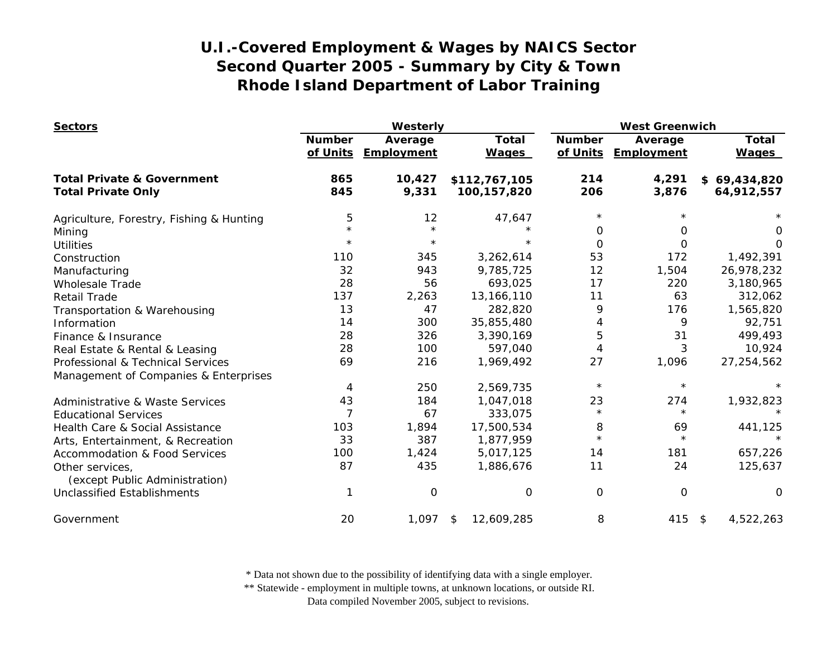| <b>Sectors</b>                                    | Westerly                  |                              |                              | <b>West Greenwich</b>     |                              |                              |
|---------------------------------------------------|---------------------------|------------------------------|------------------------------|---------------------------|------------------------------|------------------------------|
|                                                   | <b>Number</b><br>of Units | Average<br><b>Employment</b> | <b>Total</b><br><b>Wages</b> | <b>Number</b><br>of Units | Average<br><b>Employment</b> | <b>Total</b><br><b>Wages</b> |
| <b>Total Private &amp; Government</b>             | 865                       | 10,427                       | \$112,767,105                | 214                       | 4,291                        | \$69,434,820                 |
| <b>Total Private Only</b>                         | 845                       | 9,331                        | 100,157,820                  | 206                       | 3,876                        | 64,912,557                   |
| Agriculture, Forestry, Fishing & Hunting          | 5                         | 12                           | 47,647                       | $\star$                   |                              |                              |
| Mining                                            | $\star$                   | $\star$                      | $\star$                      | $\Omega$                  | 0                            | 0                            |
| <b>Utilities</b>                                  | $^\star$                  | $\star$                      |                              | $\Omega$                  | 0                            | O                            |
| Construction                                      | 110                       | 345                          | 3,262,614                    | 53                        | 172                          | 1,492,391                    |
| Manufacturing                                     | 32                        | 943                          | 9,785,725                    | 12                        | 1,504                        | 26,978,232                   |
| <b>Wholesale Trade</b>                            | 28                        | 56                           | 693,025                      | 17                        | 220                          | 3,180,965                    |
| <b>Retail Trade</b>                               | 137                       | 2,263                        | 13,166,110                   | 11                        | 63                           | 312,062                      |
| Transportation & Warehousing                      | 13                        | 47                           | 282,820                      | 9                         | 176                          | 1,565,820                    |
| Information                                       | 14                        | 300                          | 35,855,480                   | 4                         | 9                            | 92,751                       |
| Finance & Insurance                               | 28                        | 326                          | 3,390,169                    | 5                         | 31                           | 499,493                      |
| Real Estate & Rental & Leasing                    | 28                        | 100                          | 597,040                      | 4                         | 3                            | 10,924                       |
| Professional & Technical Services                 | 69                        | 216                          | 1,969,492                    | 27                        | 1,096                        | 27,254,562                   |
| Management of Companies & Enterprises             |                           |                              |                              |                           |                              |                              |
|                                                   | 4                         | 250                          | 2,569,735                    | $\star$                   | $\star$                      |                              |
| <b>Administrative &amp; Waste Services</b>        | 43                        | 184                          | 1,047,018                    | 23                        | 274                          | 1,932,823                    |
| <b>Educational Services</b>                       | $\overline{7}$            | 67                           | 333,075                      | $\star$                   | $^{\star}$                   | $\star$                      |
| Health Care & Social Assistance                   | 103                       | 1,894                        | 17,500,534                   | 8                         | 69                           | 441,125                      |
| Arts, Entertainment, & Recreation                 | 33                        | 387                          | 1,877,959                    | $\star$                   | $\star$                      |                              |
| <b>Accommodation &amp; Food Services</b>          | 100                       | 1,424                        | 5,017,125                    | 14                        | 181                          | 657,226                      |
| Other services,<br>(except Public Administration) | 87                        | 435                          | 1,886,676                    | 11                        | 24                           | 125,637                      |
| <b>Unclassified Establishments</b>                |                           | $\Omega$                     | $\Omega$                     | $\Omega$                  | $\mathbf{O}$                 | $\Omega$                     |
| Government                                        | 20                        | 1,097                        | 12,609,285<br>\$             | 8                         | 415                          | 4,522,263<br>\$              |

\* Data not shown due to the possibility of identifying data with a single employer.

\*\* Statewide - employment in multiple towns, at unknown locations, or outside RI.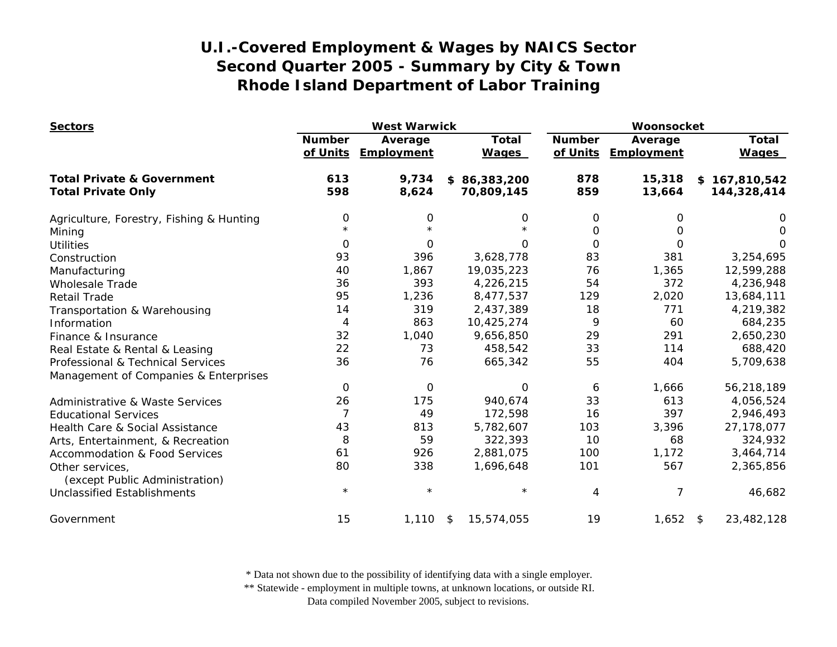| <b>Sectors</b>                                    | <b>West Warwick</b>       |                       |                              | Woonsocket                |                       |                              |
|---------------------------------------------------|---------------------------|-----------------------|------------------------------|---------------------------|-----------------------|------------------------------|
|                                                   | <b>Number</b><br>of Units | Average<br>Employment | <b>Total</b><br><b>Wages</b> | <b>Number</b><br>of Units | Average<br>Employment | <b>Total</b><br><b>Wages</b> |
| <b>Total Private &amp; Government</b>             | 613                       | 9,734                 | \$86,383,200                 | 878                       | 15,318                | \$167,810,542                |
| <b>Total Private Only</b>                         | 598                       | 8,624                 | 70,809,145                   | 859                       | 13,664                | 144,328,414                  |
| Agriculture, Forestry, Fishing & Hunting          | $\mathbf 0$               | 0                     | 0                            | 0                         | 0                     | 0                            |
| Mining                                            | $\star$                   | $\star$               |                              | 0                         | Ο                     | 0                            |
| <b>Utilities</b>                                  | $\Omega$                  | $\Omega$              | 0                            | $\Omega$                  | $\Omega$              | O                            |
| Construction                                      | 93                        | 396                   | 3,628,778                    | 83                        | 381                   | 3,254,695                    |
| Manufacturing                                     | 40                        | 1,867                 | 19,035,223                   | 76                        | 1,365                 | 12,599,288                   |
| <b>Wholesale Trade</b>                            | 36                        | 393                   | 4,226,215                    | 54                        | 372                   | 4,236,948                    |
| <b>Retail Trade</b>                               | 95                        | 1,236                 | 8,477,537                    | 129                       | 2,020                 | 13,684,111                   |
| Transportation & Warehousing                      | 14                        | 319                   | 2,437,389                    | 18                        | 771                   | 4,219,382                    |
| Information                                       | 4                         | 863                   | 10,425,274                   | 9                         | 60                    | 684,235                      |
| Finance & Insurance                               | 32                        | 1,040                 | 9,656,850                    | 29                        | 291                   | 2,650,230                    |
| Real Estate & Rental & Leasing                    | 22                        | 73                    | 458,542                      | 33                        | 114                   | 688,420                      |
| Professional & Technical Services                 | 36                        | 76                    | 665,342                      | 55                        | 404                   | 5,709,638                    |
| Management of Companies & Enterprises             |                           |                       |                              |                           |                       |                              |
|                                                   | 0                         | 0                     | 0                            | 6                         | 1,666                 | 56,218,189                   |
| Administrative & Waste Services                   | 26                        | 175                   | 940,674                      | 33                        | 613                   | 4,056,524                    |
| <b>Educational Services</b>                       | $\overline{7}$            | 49                    | 172,598                      | 16                        | 397                   | 2,946,493                    |
| Health Care & Social Assistance                   | 43                        | 813                   | 5,782,607                    | 103                       | 3,396                 | 27,178,077                   |
| Arts, Entertainment, & Recreation                 | 8                         | 59                    | 322,393                      | 10                        | 68                    | 324,932                      |
| <b>Accommodation &amp; Food Services</b>          | 61                        | 926                   | 2,881,075                    | 100                       | 1,172                 | 3,464,714                    |
| Other services,<br>(except Public Administration) | 80                        | 338                   | 1,696,648                    | 101                       | 567                   | 2,365,856                    |
| <b>Unclassified Establishments</b>                | $\star$                   | $\star$               | $\star$                      | 4                         | 7                     | 46,682                       |
| Government                                        | 15                        | 1,110                 | 15,574,055<br>\$             | 19                        | $1,652$ \$            | 23,482,128                   |

\* Data not shown due to the possibility of identifying data with a single employer.

\*\* Statewide - employment in multiple towns, at unknown locations, or outside RI.